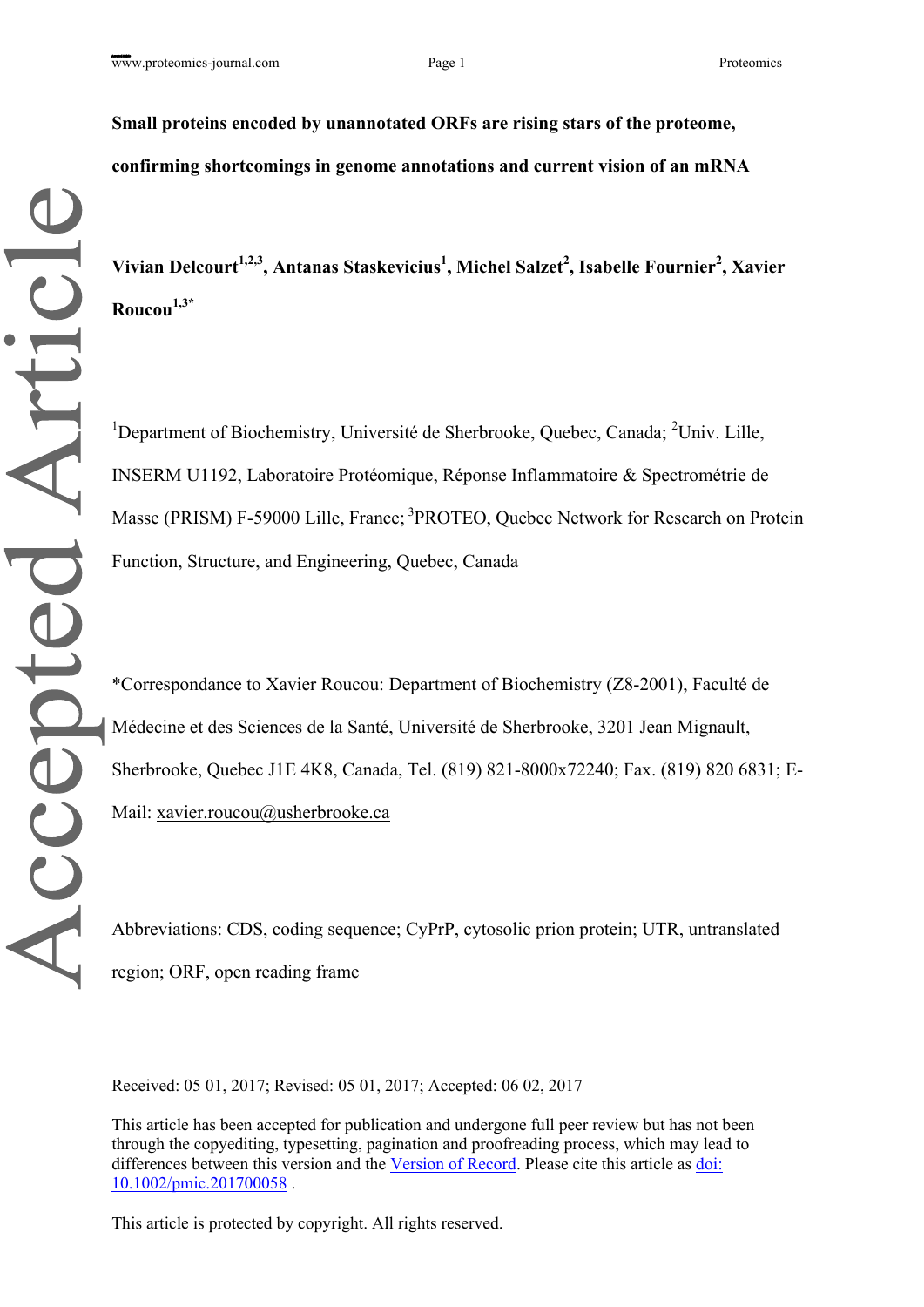**Small proteins encoded by unannotated ORFs are rising stars of the proteome, confirming shortcomings in genome annotations and current vision of an mRNA**

**Vivian Delcourt1,2,3 , Antanas Staskevicius<sup>1</sup> , Michel Salzet<sup>2</sup> , Isabelle Fournier<sup>2</sup> , Xavier Roucou1,3\***

<sup>1</sup>Department of Biochemistry, Université de Sherbrooke, Quebec, Canada; <sup>2</sup>Univ. Lille, INSERM U1192, Laboratoire Protéomique, Réponse Inflammatoire & Spectrométrie de Masse (PRISM) F-59000 Lille, France; <sup>3</sup>PROTEO, Quebec Network for Research on Protein Function, Structure, and Engineering, Quebec, Canada

\*Correspondance to Xavier Roucou: Department of Biochemistry (Z8-2001), Faculté de Médecine et des Sciences de la Santé, Université de Sherbrooke, 3201 Jean Mignault, Sherbrooke, Quebec J1E 4K8, Canada, Tel. (819) 821-8000x72240; Fax. (819) 820 6831; EMail: [xavier.roucou@usherbrooke.ca](mailto:xavier.roucou@usherbrooke.ca)

Abbreviations: CDS, coding sequence; CyPrP, cytosolic prion protein; UTR, untranslated region; ORF, open reading frame

Received: 05 01, 2017; Revised: 05 01, 2017; Accepted: 06 02, 2017

This article has been accepted for publication and undergone full peer review but has not been through the copyediting, typesetting, pagination and proofreading process, which may lead to differences between this version and the [Version of Record.](https://doi.org/10.1002/pmic.201700058) Please cite this article as [doi:](https://doi.org/10.1002/pmic.201700058)  [10.1002/pmic.201700058](https://doi.org/10.1002/pmic.201700058) .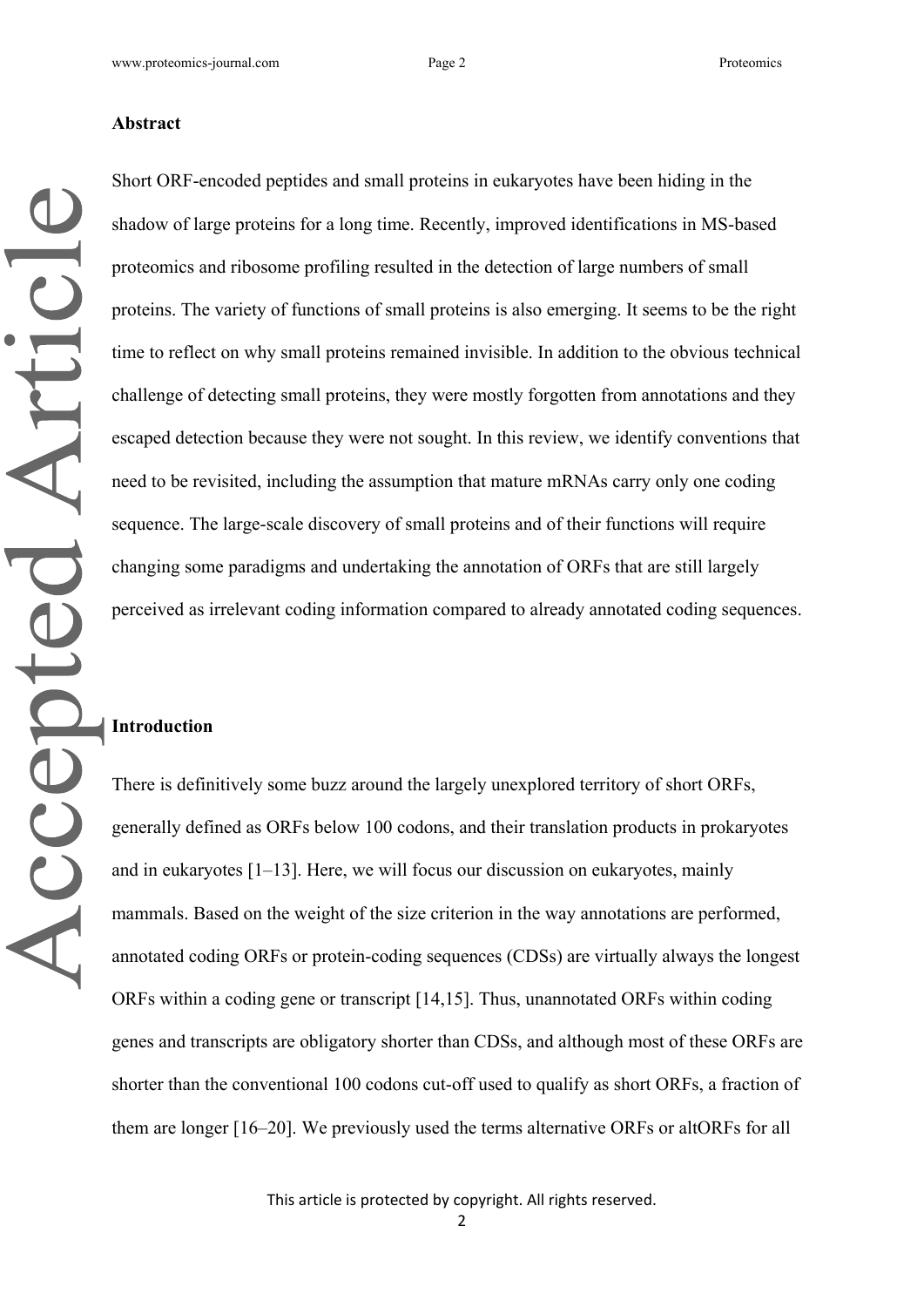#### **Abstract**

Accepted Article

Short ORF-encoded peptides and small proteins in eukaryotes have been hiding in the shadow of large proteins for a long time. Recently, improved identifications in MS-based proteomics and ribosome profiling resulted in the detection of large numbers of small proteins. The variety of functions of small proteins is also emerging. It seems to be the right time to reflect on why small proteins remained invisible. In addition to the obvious technical challenge of detecting small proteins, they were mostly forgotten from annotations and they escaped detection because they were not sought. In this review, we identify conventions that need to be revisited, including the assumption that mature mRNAs carry only one coding sequence. The large-scale discovery of small proteins and of their functions will require changing some paradigms and undertaking the annotation of ORFs that are still largely perceived as irrelevant coding information compared to already annotated coding sequences.

#### **Introduction**

There is definitively some buzz around the largely unexplored territory of short ORFs, generally defined as ORFs below 100 codons, and their translation products in prokaryotes and in eukaryotes [1–13]. Here, we will focus our discussion on eukaryotes, mainly mammals. Based on the weight of the size criterion in the way annotations are performed, annotated coding ORFs or protein-coding sequences (CDSs) are virtually always the longest ORFs within a coding gene or transcript [14,15]. Thus, unannotated ORFs within coding genes and transcripts are obligatory shorter than CDSs, and although most of these ORFs are shorter than the conventional 100 codons cut-off used to qualify as short ORFs, a fraction of them are longer [16–20]. We previously used the terms alternative ORFs or altORFs for all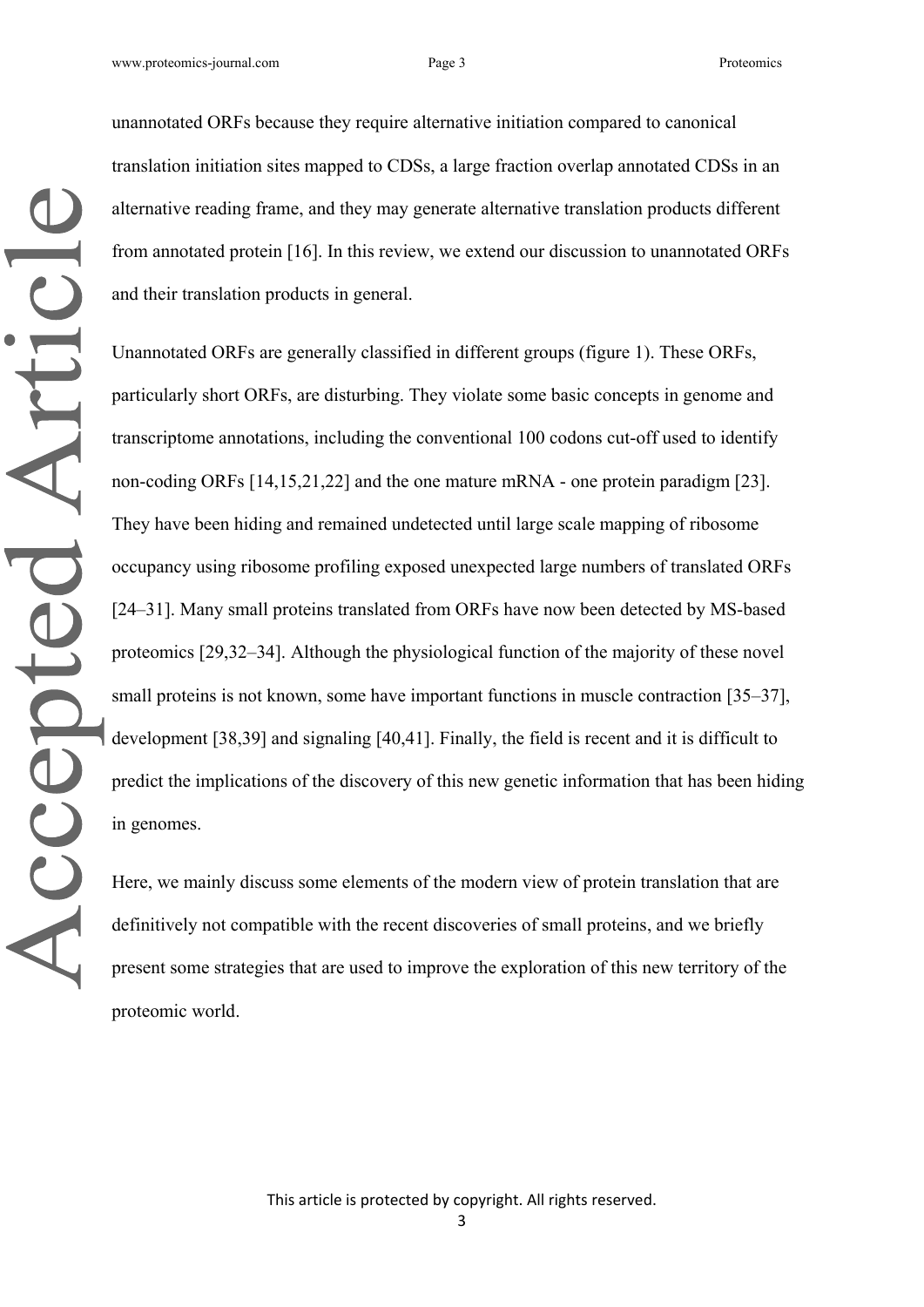unannotated ORFs because they require alternative initiation compared to canonical translation initiation sites mapped to CDSs, a large fraction overlap annotated CDSs in an alternative reading frame, and they may generate alternative translation products different from annotated protein [16]. In this review, we extend our discussion to unannotated ORFs and their translation products in general.

Unannotated ORFs are generally classified in different groups (figure 1). These ORFs, particularly short ORFs, are disturbing. They violate some basic concepts in genome and transcriptome annotations, including the conventional 100 codons cut-off used to identify non-coding ORFs [14,15,21,22] and the one mature mRNA - one protein paradigm [23]. They have been hiding and remained undetected until large scale mapping of ribosome occupancy using ribosome profiling exposed unexpected large numbers of translated ORFs [24–31]. Many small proteins translated from ORFs have now been detected by MS-based proteomics [29,32–34]. Although the physiological function of the majority of these novel small proteins is not known, some have important functions in muscle contraction [35–37], development [38,39] and signaling [40,41]. Finally, the field is recent and it is difficult to predict the implications of the discovery of this new genetic information that has been hiding in genomes.

Here, we mainly discuss some elements of the modern view of protein translation that are definitively not compatible with the recent discoveries of small proteins, and we briefly present some strategies that are used to improve the exploration of this new territory of the proteomic world.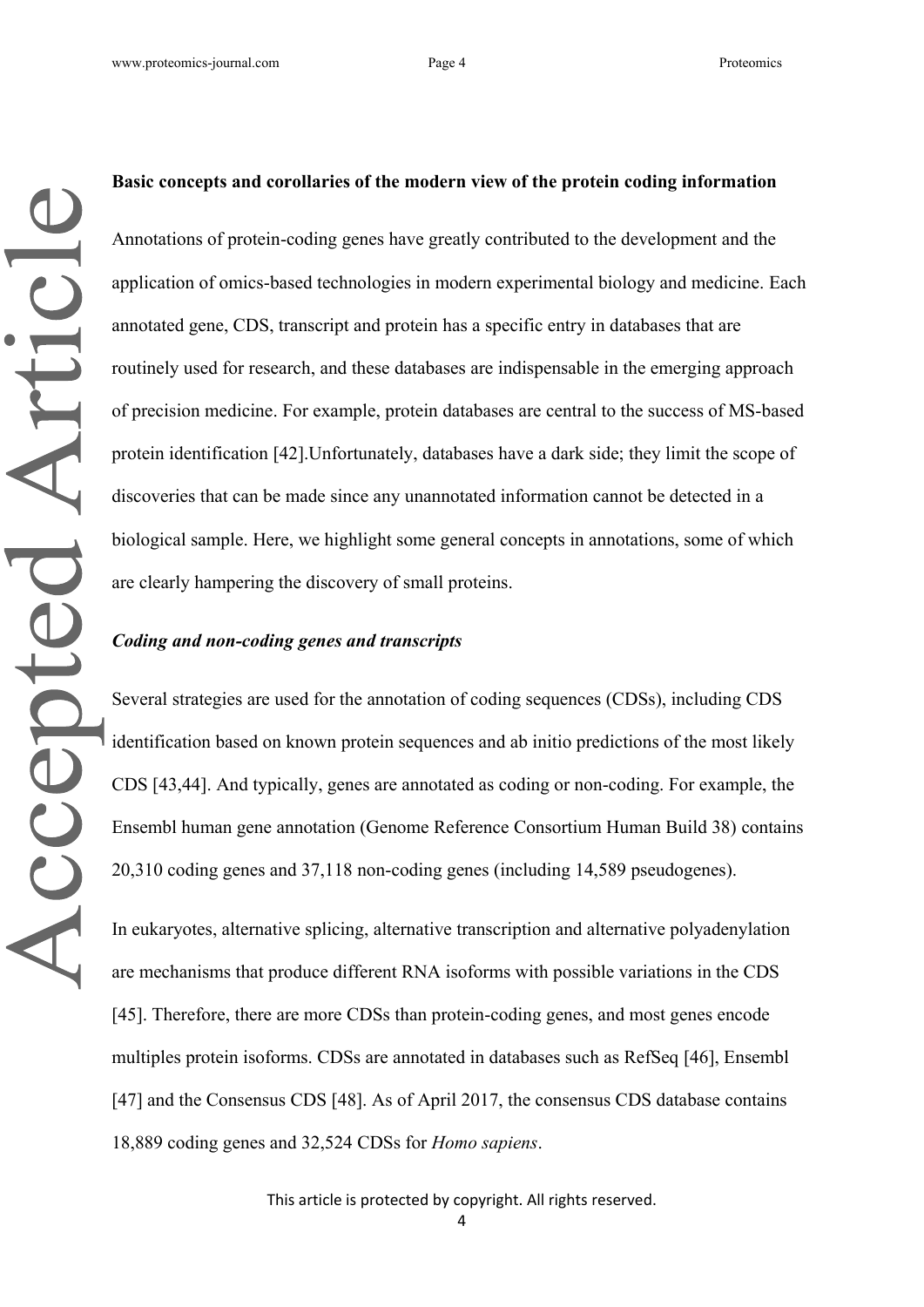#### **Basic concepts and corollaries of the modern view of the protein coding information**

Annotations of protein-coding genes have greatly contributed to the development and the application of omics-based technologies in modern experimental biology and medicine. Each annotated gene, CDS, transcript and protein has a specific entry in databases that are routinely used for research, and these databases are indispensable in the emerging approach of precision medicine. For example, protein databases are central to the success of MS-based protein identification [42].Unfortunately, databases have a dark side; they limit the scope of discoveries that can be made since any unannotated information cannot be detected in a biological sample. Here, we highlight some general concepts in annotations, some of which are clearly hampering the discovery of small proteins.

### *Coding and non-coding genes and transcripts*

Several strategies are used for the annotation of coding sequences (CDSs), including CDS identification based on known protein sequences and ab initio predictions of the most likely CDS [43,44]. And typically, genes are annotated as coding or non-coding. For example, the Ensembl human gene annotation (Genome Reference Consortium Human Build 38) contains 20,310 coding genes and 37,118 non-coding genes (including 14,589 pseudogenes).

In eukaryotes, alternative splicing, alternative transcription and alternative polyadenylation are mechanisms that produce different RNA isoforms with possible variations in the CDS [45]. Therefore, there are more CDSs than protein-coding genes, and most genes encode multiples protein isoforms. CDSs are annotated in databases such as RefSeq [46], Ensembl [47] and the Consensus CDS [48]. As of April 2017, the consensus CDS database contains 18,889 coding genes and 32,524 CDSs for *Homo sapiens*.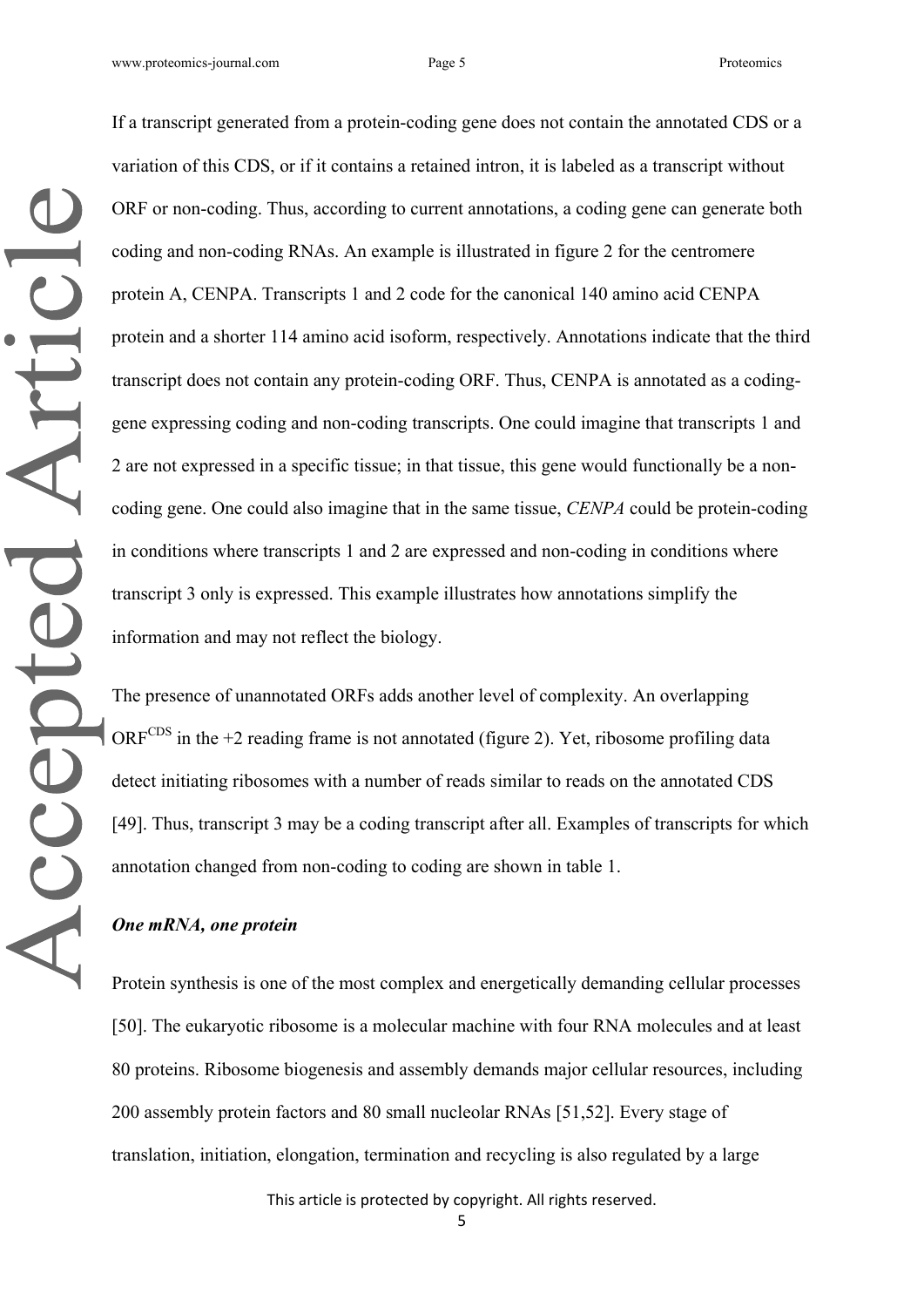Accepted Article

If a transcript generated from a protein-coding gene does not contain the annotated CDS or a variation of this CDS, or if it contains a retained intron, it is labeled as a transcript without ORF or non-coding. Thus, according to current annotations, a coding gene can generate both coding and non-coding RNAs. An example is illustrated in figure 2 for the centromere protein A, CENPA. Transcripts 1 and 2 code for the canonical 140 amino acid CENPA protein and a shorter 114 amino acid isoform, respectively. Annotations indicate that the third transcript does not contain any protein-coding ORF. Thus, CENPA is annotated as a codinggene expressing coding and non-coding transcripts. One could imagine that transcripts 1 and 2 are not expressed in a specific tissue; in that tissue, this gene would functionally be a noncoding gene. One could also imagine that in the same tissue, *CENPA* could be protein-coding in conditions where transcripts 1 and 2 are expressed and non-coding in conditions where transcript 3 only is expressed. This example illustrates how annotations simplify the information and may not reflect the biology.

The presence of unannotated ORFs adds another level of complexity. An overlapping  $ORF<sup>CDS</sup>$  in the +2 reading frame is not annotated (figure 2). Yet, ribosome profiling data detect initiating ribosomes with a number of reads similar to reads on the annotated CDS [49]. Thus, transcript 3 may be a coding transcript after all. Examples of transcripts for which annotation changed from non-coding to coding are shown in table 1.

### *One mRNA, one protein*

Protein synthesis is one of the most complex and energetically demanding cellular processes [50]. The eukaryotic ribosome is a molecular machine with four RNA molecules and at least 80 proteins. Ribosome biogenesis and assembly demands major cellular resources, including 200 assembly protein factors and 80 small nucleolar RNAs [51,52]. Every stage of translation, initiation, elongation, termination and recycling is also regulated by a large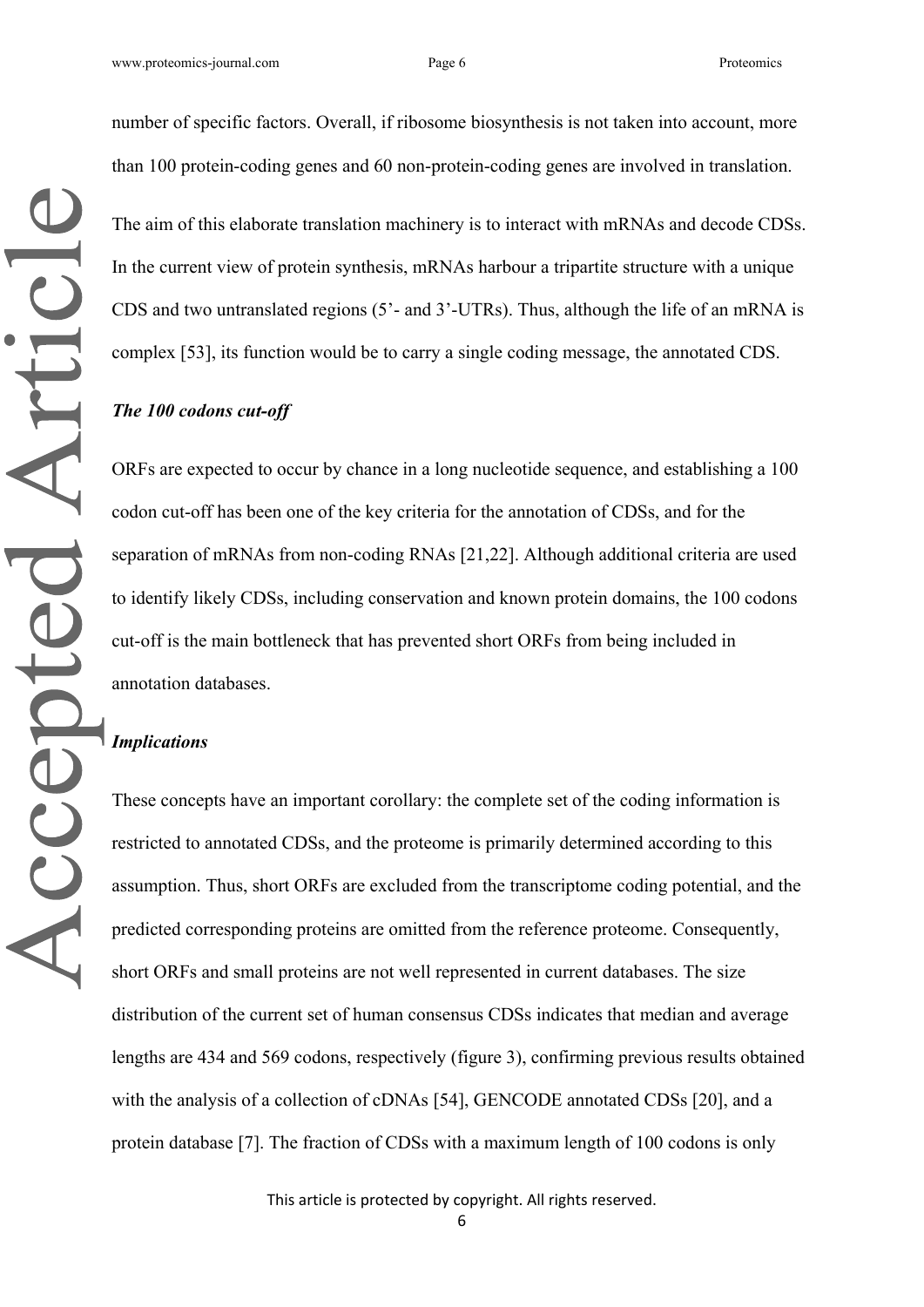number of specific factors. Overall, if ribosome biosynthesis is not taken into account, more than 100 protein-coding genes and 60 non-protein-coding genes are involved in translation.

The aim of this elaborate translation machinery is to interact with mRNAs and decode CDSs. In the current view of protein synthesis, mRNAs harbour a tripartite structure with a unique CDS and two untranslated regions (5"- and 3"-UTRs). Thus, although the life of an mRNA is complex [53], its function would be to carry a single coding message, the annotated CDS.

#### *The 100 codons cut-off*

ORFs are expected to occur by chance in a long nucleotide sequence, and establishing a 100 codon cut-off has been one of the key criteria for the annotation of CDSs, and for the separation of mRNAs from non-coding RNAs [21,22]. Although additional criteria are used to identify likely CDSs, including conservation and known protein domains, the 100 codons cut-off is the main bottleneck that has prevented short ORFs from being included in annotation databases.

### *Implications*

These concepts have an important corollary: the complete set of the coding information is restricted to annotated CDSs, and the proteome is primarily determined according to this assumption. Thus, short ORFs are excluded from the transcriptome coding potential, and the predicted corresponding proteins are omitted from the reference proteome. Consequently, short ORFs and small proteins are not well represented in current databases. The size distribution of the current set of human consensus CDSs indicates that median and average lengths are 434 and 569 codons, respectively (figure 3), confirming previous results obtained with the analysis of a collection of cDNAs [54], GENCODE annotated CDSs [20], and a protein database [7]. The fraction of CDSs with a maximum length of 100 codons is only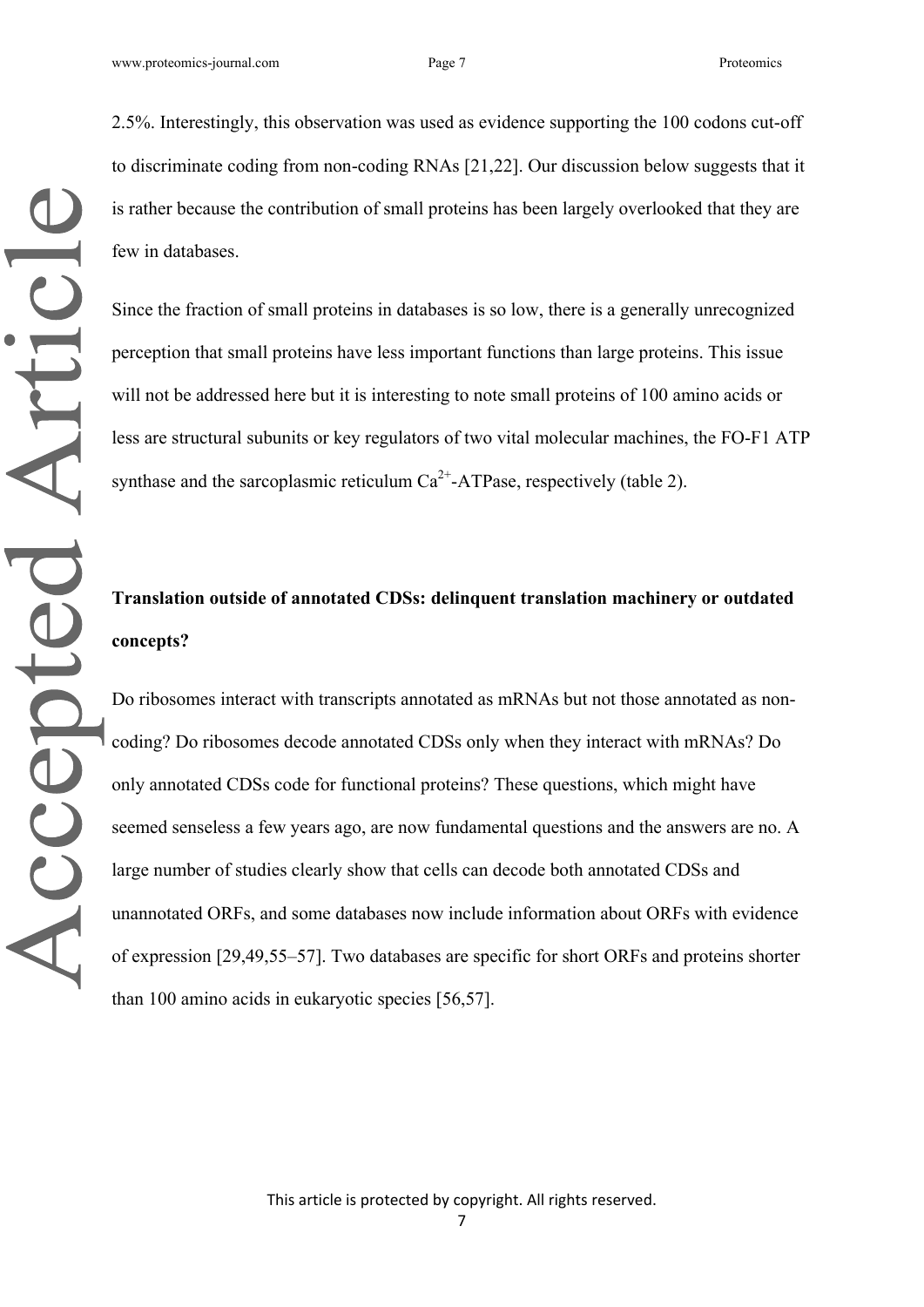2.5%. Interestingly, this observation was used as evidence supporting the 100 codons cut-off to discriminate coding from non-coding RNAs [21,22]. Our discussion below suggests that it is rather because the contribution of small proteins has been largely overlooked that they are few in databases.

Since the fraction of small proteins in databases is so low, there is a generally unrecognized perception that small proteins have less important functions than large proteins. This issue will not be addressed here but it is interesting to note small proteins of 100 amino acids or less are structural subunits or key regulators of two vital molecular machines, the FO-F1 ATP synthase and the sarcoplasmic reticulum  $Ca^{2+}$ -ATPase, respectively (table 2).

# **Translation outside of annotated CDSs: delinquent translation machinery or outdated concepts?**

Do ribosomes interact with transcripts annotated as mRNAs but not those annotated as noncoding? Do ribosomes decode annotated CDSs only when they interact with mRNAs? Do only annotated CDSs code for functional proteins? These questions, which might have seemed senseless a few years ago, are now fundamental questions and the answers are no. A large number of studies clearly show that cells can decode both annotated CDSs and unannotated ORFs, and some databases now include information about ORFs with evidence of expression [29,49,55–57]. Two databases are specific for short ORFs and proteins shorter than 100 amino acids in eukaryotic species [56,57].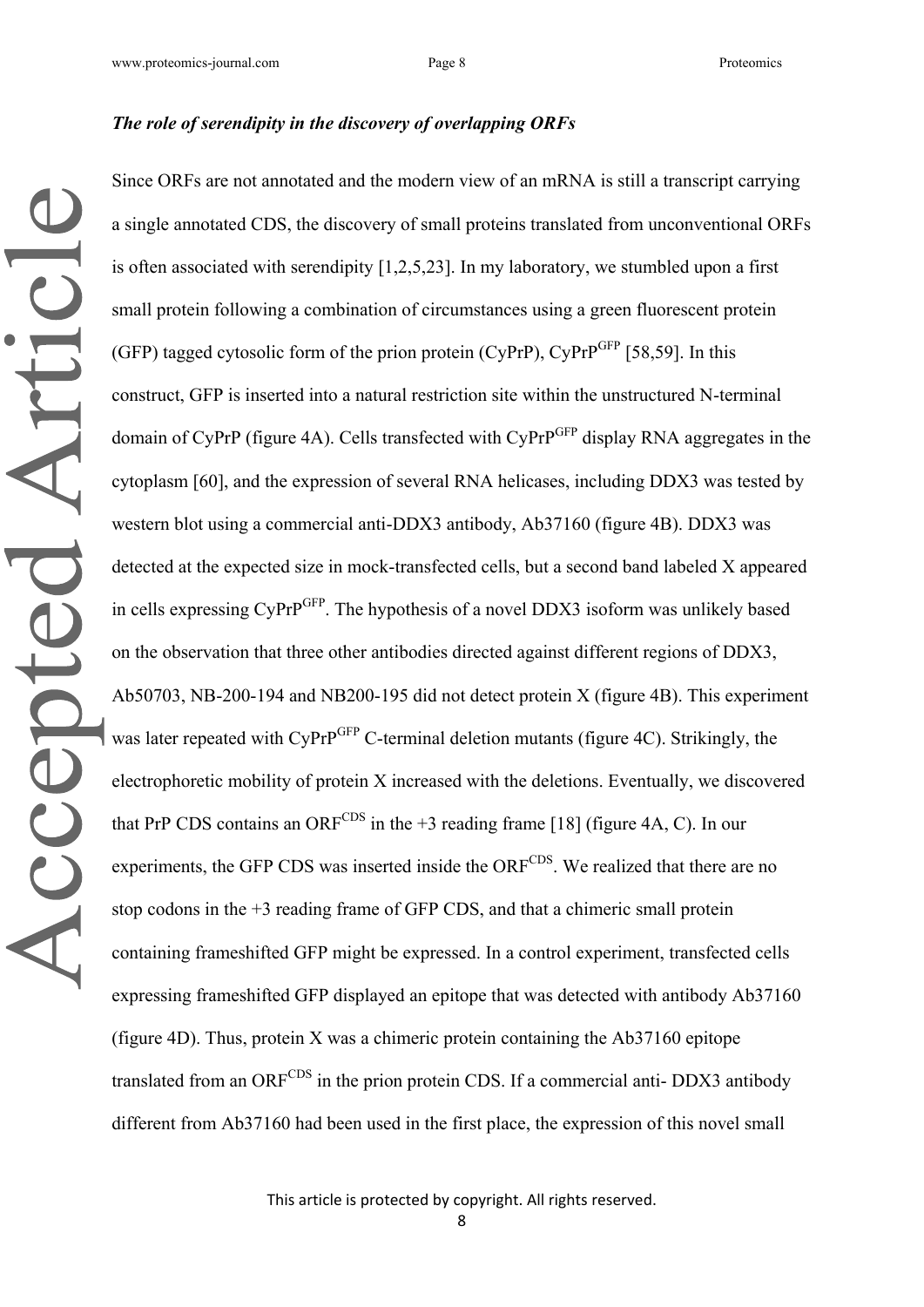Accepted Article

### *The role of serendipity in the discovery of overlapping ORFs*

Since ORFs are not annotated and the modern view of an mRNA is still a transcript carrying a single annotated CDS, the discovery of small proteins translated from unconventional ORFs is often associated with serendipity [1,2,5,23]. In my laboratory, we stumbled upon a first small protein following a combination of circumstances using a green fluorescent protein (GFP) tagged cytosolic form of the prion protein (CyPrP), CyPrP $GFP$  [58,59]. In this construct, GFP is inserted into a natural restriction site within the unstructured N-terminal domain of CyPrP (figure 4A). Cells transfected with CyPrP<sup>GFP</sup> display RNA aggregates in the cytoplasm [60], and the expression of several RNA helicases, including DDX3 was tested by western blot using a commercial anti-DDX3 antibody, Ab37160 (figure 4B). DDX3 was detected at the expected size in mock-transfected cells, but a second band labeled X appeared in cells expressing CyPrP<sup>GFP</sup>. The hypothesis of a novel DDX3 isoform was unlikely based on the observation that three other antibodies directed against different regions of DDX3, Ab50703, NB-200-194 and NB200-195 did not detect protein X (figure 4B). This experiment was later repeated with CyPrP<sup>GFP</sup> C-terminal deletion mutants (figure 4C). Strikingly, the electrophoretic mobility of protein X increased with the deletions. Eventually, we discovered that PrP CDS contains an ORF<sup>CDS</sup> in the  $+3$  reading frame [18] (figure 4A, C). In our experiments, the GFP CDS was inserted inside the ORFCDS. We realized that there are no stop codons in the +3 reading frame of GFP CDS, and that a chimeric small protein containing frameshifted GFP might be expressed. In a control experiment, transfected cells expressing frameshifted GFP displayed an epitope that was detected with antibody Ab37160 (figure 4D). Thus, protein X was a chimeric protein containing the Ab37160 epitope translated from an ORF<sup>CDS</sup> in the prion protein CDS. If a commercial anti- DDX3 antibody different from Ab37160 had been used in the first place, the expression of this novel small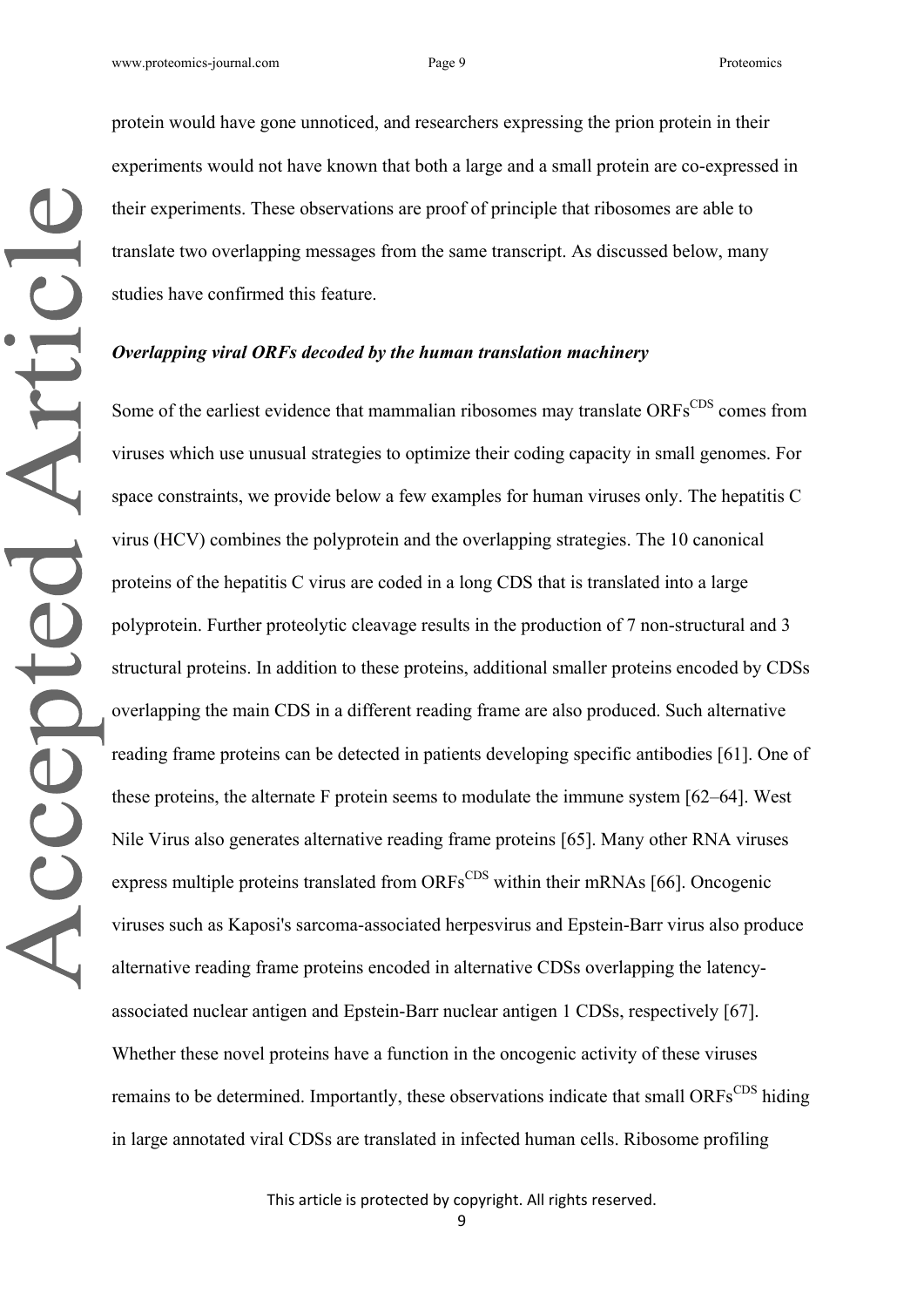Accepted Article

protein would have gone unnoticed, and researchers expressing the prion protein in their experiments would not have known that both a large and a small protein are co-expressed in their experiments. These observations are proof of principle that ribosomes are able to translate two overlapping messages from the same transcript. As discussed below, many studies have confirmed this feature.

### *Overlapping viral ORFs decoded by the human translation machinery*

Some of the earliest evidence that mammalian ribosomes may translate ORFs<sup>CDS</sup> comes from viruses which use unusual strategies to optimize their coding capacity in small genomes. For space constraints, we provide below a few examples for human viruses only. The hepatitis C virus (HCV) combines the polyprotein and the overlapping strategies. The 10 canonical proteins of the hepatitis C virus are coded in a long CDS that is translated into a large polyprotein. Further proteolytic cleavage results in the production of 7 non-structural and 3 structural proteins. In addition to these proteins, additional smaller proteins encoded by CDSs overlapping the main CDS in a different reading frame are also produced. Such alternative reading frame proteins can be detected in patients developing specific antibodies [61]. One of these proteins, the alternate F protein seems to modulate the immune system [62–64]. West Nile Virus also generates alternative reading frame proteins [65]. Many other RNA viruses express multiple proteins translated from  $ORFs^{CDS}$  within their mRNAs [66]. Oncogenic viruses such as Kaposi's sarcoma-associated herpesvirus and Epstein-Barr virus also produce alternative reading frame proteins encoded in alternative CDSs overlapping the latencyassociated nuclear antigen and Epstein-Barr nuclear antigen 1 CDSs, respectively [67]. Whether these novel proteins have a function in the oncogenic activity of these viruses remains to be determined. Importantly, these observations indicate that small  $ORFs^{CDS}$  hiding in large annotated viral CDSs are translated in infected human cells. Ribosome profiling

This article is protected by copyright. All rights reserved.

9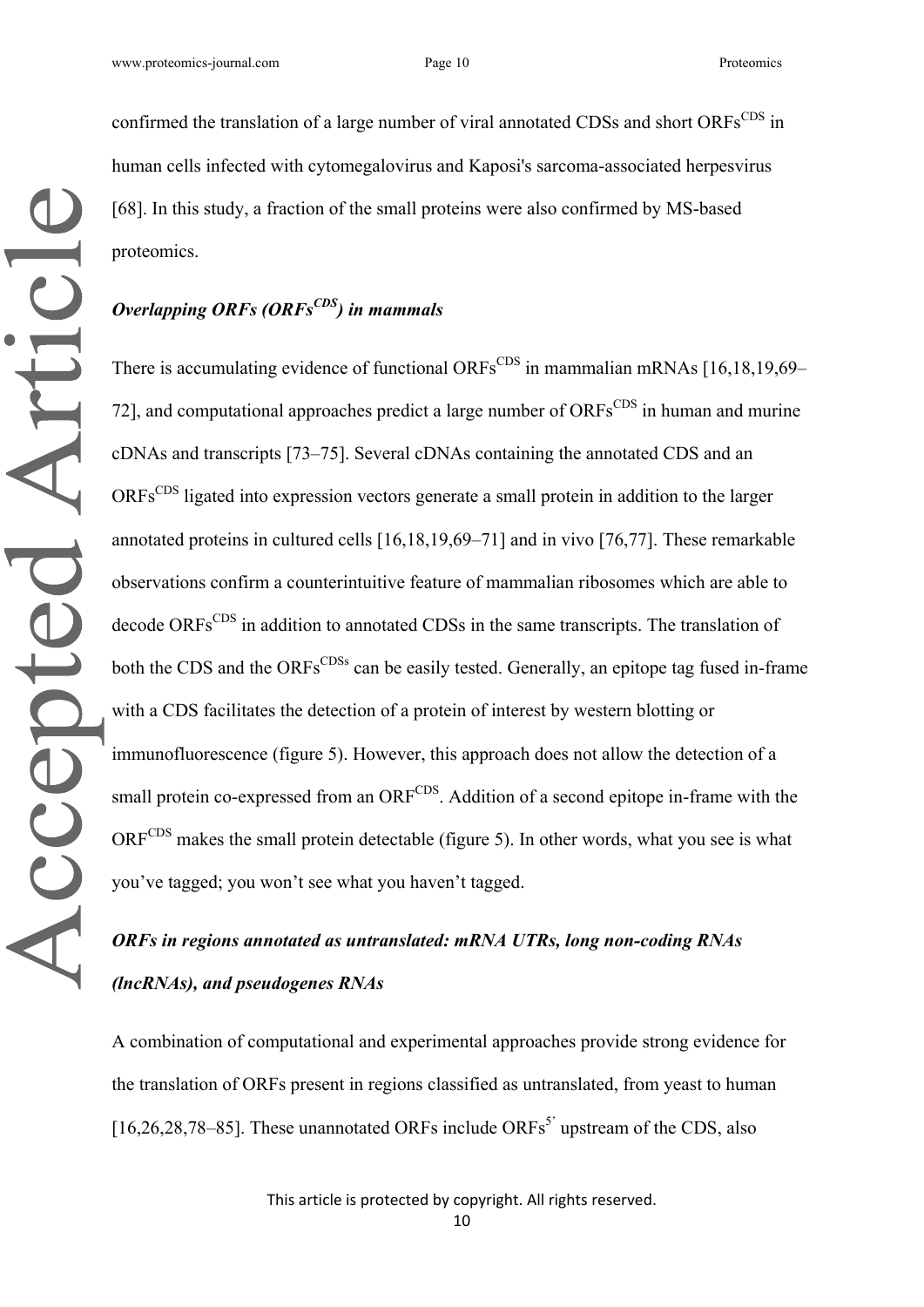confirmed the translation of a large number of viral annotated CDSs and short ORFs<sup>CDS</sup> in human cells infected with cytomegalovirus and Kaposi's sarcoma-associated herpesvirus [68]. In this study, a fraction of the small proteins were also confirmed by MS-based proteomics.

## *Overlapping ORFs (ORFsCDS) in mammals*

There is accumulating evidence of functional  $ORFs^{CDS}$  in mammalian mRNAs [16,18,19,69– 72], and computational approaches predict a large number of  $ORFs^{CDS}$  in human and murine cDNAs and transcripts [73–75]. Several cDNAs containing the annotated CDS and an ORFs<sup>CDS</sup> ligated into expression vectors generate a small protein in addition to the larger annotated proteins in cultured cells [16,18,19,69–71] and in vivo [76,77]. These remarkable observations confirm a counterintuitive feature of mammalian ribosomes which are able to decode ORFs<sup>CDS</sup> in addition to annotated CDSs in the same transcripts. The translation of both the CDS and the ORFs<sup>CDSs</sup> can be easily tested. Generally, an epitope tag fused in-frame with a CDS facilitates the detection of a protein of interest by western blotting or immunofluorescence (figure 5). However, this approach does not allow the detection of a small protein co-expressed from an ORF<sup>CDS</sup>. Addition of a second epitope in-frame with the ORF<sup>CDS</sup> makes the small protein detectable (figure 5). In other words, what you see is what you"ve tagged; you won"t see what you haven"t tagged.

# *ORFs in regions annotated as untranslated: mRNA UTRs, long non-coding RNAs (lncRNAs), and pseudogenes RNAs*

A combination of computational and experimental approaches provide strong evidence for the translation of ORFs present in regions classified as untranslated, from yeast to human [16,26,28,78–85]. These unannotated ORFs include  $\text{ORFs}^5$  upstream of the CDS, also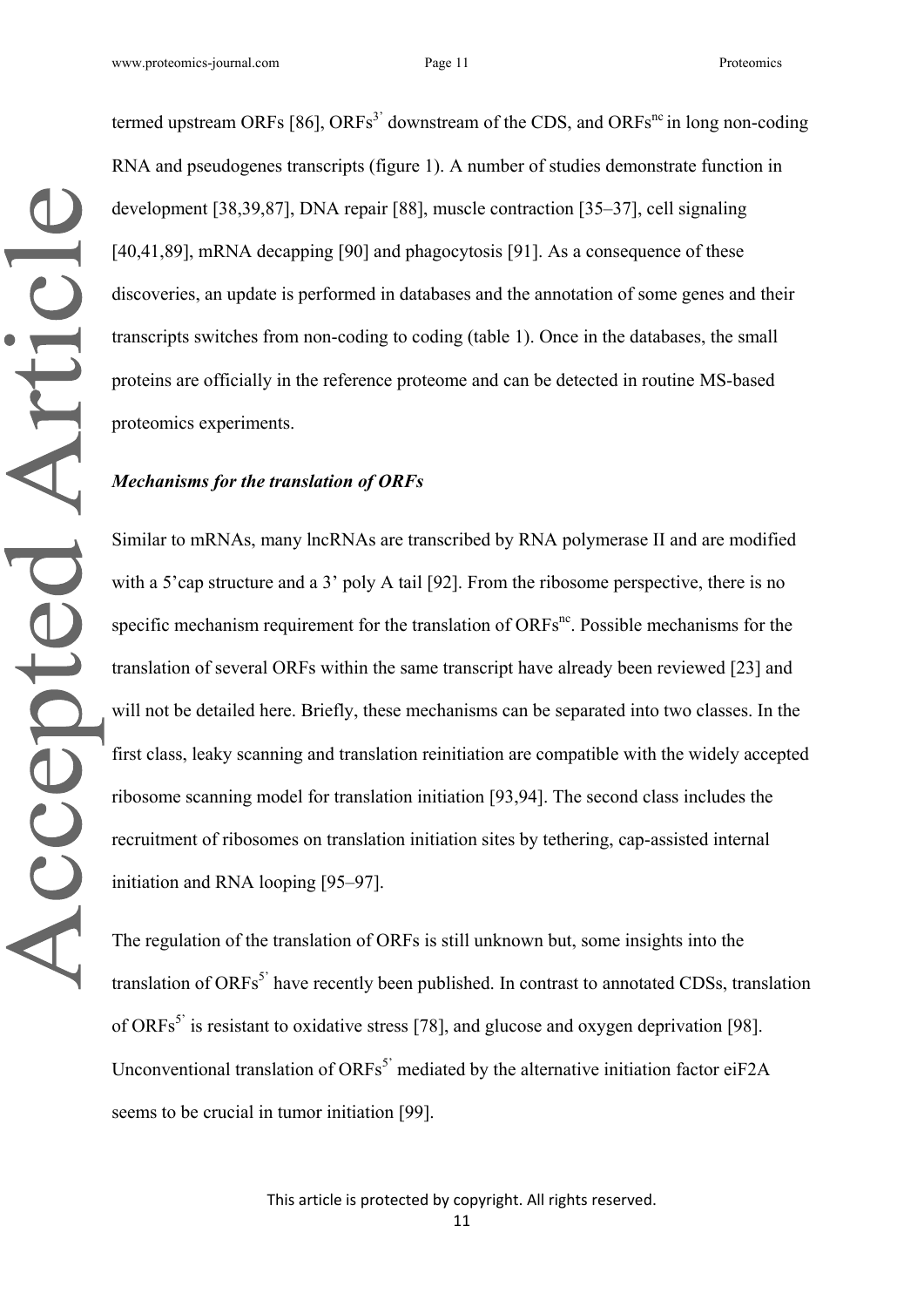termed upstream ORFs [86], ORFs<sup>3'</sup> downstream of the CDS, and ORFs<sup>nc</sup> in long non-coding RNA and pseudogenes transcripts (figure 1). A number of studies demonstrate function in development [38,39,87], DNA repair [88], muscle contraction [35–37], cell signaling [40,41,89], mRNA decapping [90] and phagocytosis [91]. As a consequence of these discoveries, an update is performed in databases and the annotation of some genes and their transcripts switches from non-coding to coding (table 1). Once in the databases, the small proteins are officially in the reference proteome and can be detected in routine MS-based proteomics experiments.

#### *Mechanisms for the translation of ORFs*

Similar to mRNAs, many lncRNAs are transcribed by RNA polymerase II and are modified with a 5'cap structure and a 3' poly A tail [92]. From the ribosome perspective, there is no specific mechanism requirement for the translation of ORFs<sup>nc</sup>. Possible mechanisms for the translation of several ORFs within the same transcript have already been reviewed [23] and will not be detailed here. Briefly, these mechanisms can be separated into two classes. In the first class, leaky scanning and translation reinitiation are compatible with the widely accepted ribosome scanning model for translation initiation [93,94]. The second class includes the recruitment of ribosomes on translation initiation sites by tethering, cap-assisted internal initiation and RNA looping [95–97].

The regulation of the translation of ORFs is still unknown but, some insights into the translation of ORFs<sup>5'</sup> have recently been published. In contrast to annotated CDSs, translation of ORFs<sup>5'</sup> is resistant to oxidative stress [78], and glucose and oxygen deprivation [98]. Unconventional translation of  $ORFs^5$  mediated by the alternative initiation factor eiF2A seems to be crucial in tumor initiation [99].

Accepted Article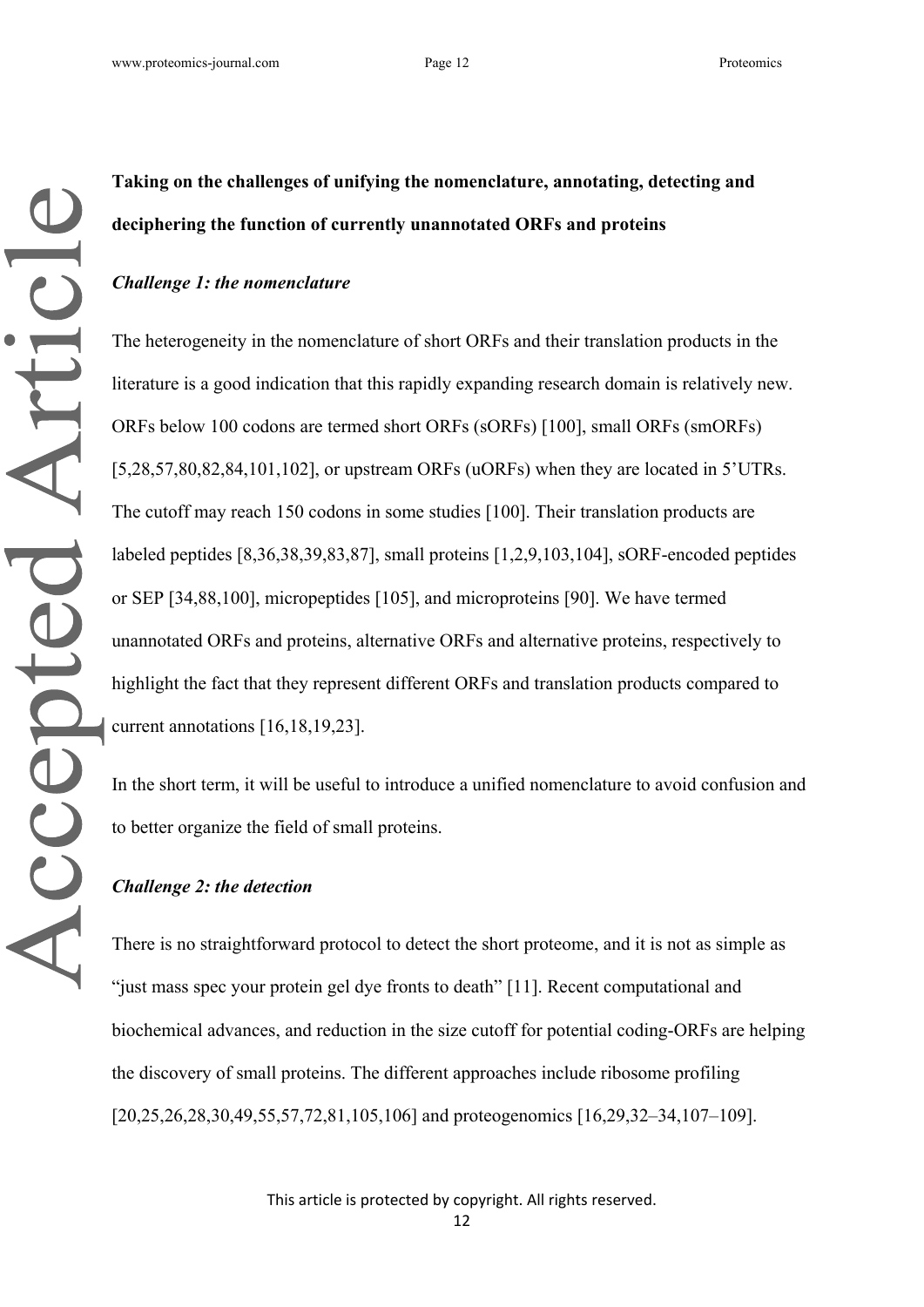**Taking on the challenges of unifying the nomenclature, annotating, detecting and deciphering the function of currently unannotated ORFs and proteins**

#### *Challenge 1: the nomenclature*

The heterogeneity in the nomenclature of short ORFs and their translation products in the literature is a good indication that this rapidly expanding research domain is relatively new. ORFs below 100 codons are termed short ORFs (sORFs) [100], small ORFs (smORFs) [5,28,57,80,82,84,101,102], or upstream ORFs (uORFs) when they are located in 5"UTRs. The cutoff may reach 150 codons in some studies [100]. Their translation products are labeled peptides [8,36,38,39,83,87], small proteins [1,2,9,103,104], sORF-encoded peptides or SEP [34,88,100], micropeptides [105], and microproteins [90]. We have termed unannotated ORFs and proteins, alternative ORFs and alternative proteins, respectively to highlight the fact that they represent different ORFs and translation products compared to current annotations [16,18,19,23].

In the short term, it will be useful to introduce a unified nomenclature to avoid confusion and to better organize the field of small proteins.

#### *Challenge 2: the detection*

There is no straightforward protocol to detect the short proteome, and it is not as simple as "just mass spec your protein gel dye fronts to death" [11]. Recent computational and biochemical advances, and reduction in the size cutoff for potential coding-ORFs are helping the discovery of small proteins. The different approaches include ribosome profiling [20,25,26,28,30,49,55,57,72,81,105,106] and proteogenomics [16,29,32–34,107–109].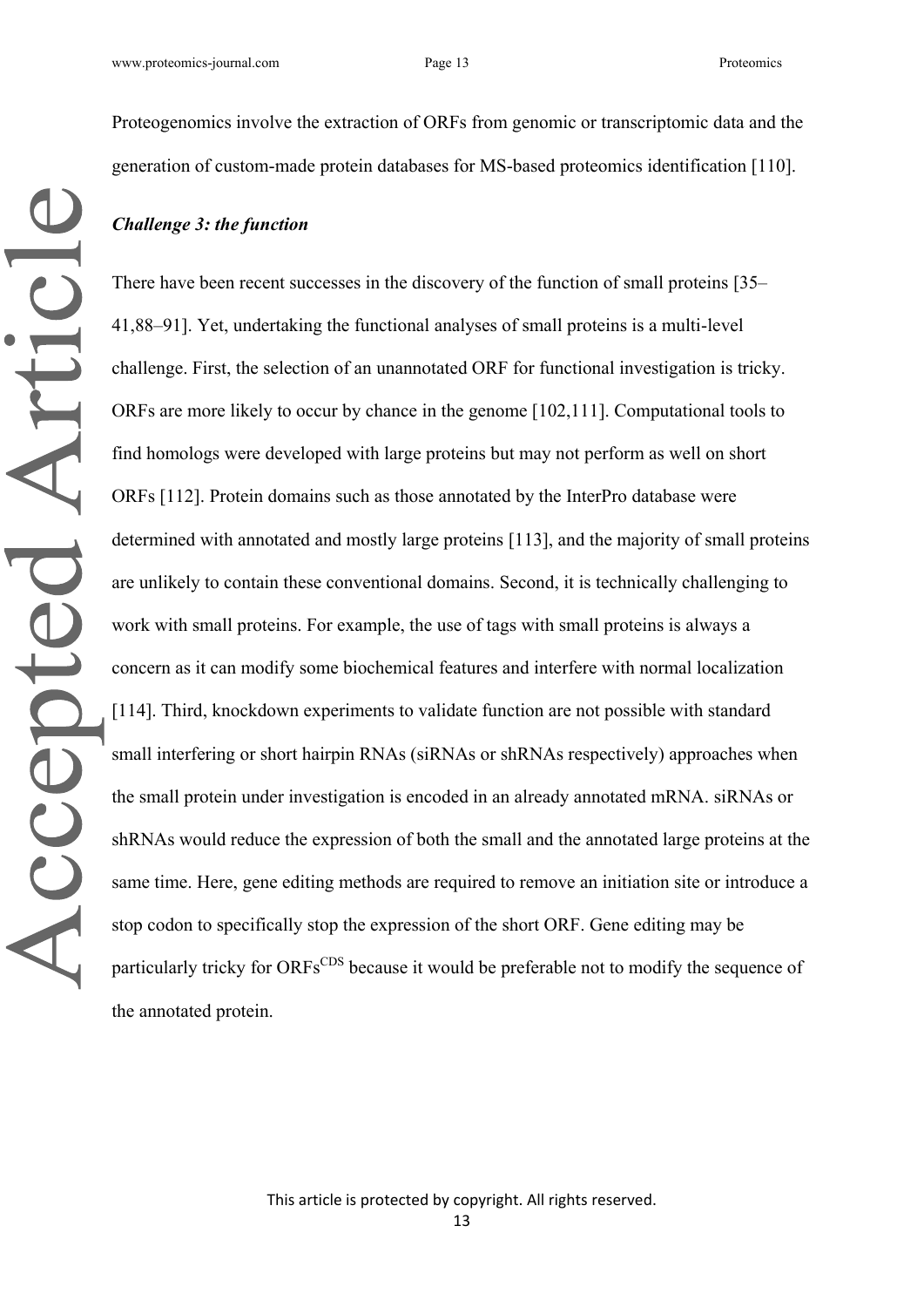Proteogenomics involve the extraction of ORFs from genomic or transcriptomic data and the generation of custom-made protein databases for MS-based proteomics identification [110].

### *Challenge 3: the function*

There have been recent successes in the discovery of the function of small proteins [35– 41,88–91]. Yet, undertaking the functional analyses of small proteins is a multi-level challenge. First, the selection of an unannotated ORF for functional investigation is tricky. ORFs are more likely to occur by chance in the genome [102,111]. Computational tools to find homologs were developed with large proteins but may not perform as well on short ORFs [112]. Protein domains such as those annotated by the InterPro database were determined with annotated and mostly large proteins [113], and the majority of small proteins are unlikely to contain these conventional domains. Second, it is technically challenging to work with small proteins. For example, the use of tags with small proteins is always a concern as it can modify some biochemical features and interfere with normal localization [114]. Third, knockdown experiments to validate function are not possible with standard small interfering or short hairpin RNAs (siRNAs or shRNAs respectively) approaches when the small protein under investigation is encoded in an already annotated mRNA. siRNAs or shRNAs would reduce the expression of both the small and the annotated large proteins at the same time. Here, gene editing methods are required to remove an initiation site or introduce a stop codon to specifically stop the expression of the short ORF. Gene editing may be particularly tricky for ORFs<sup>CDS</sup> because it would be preferable not to modify the sequence of the annotated protein.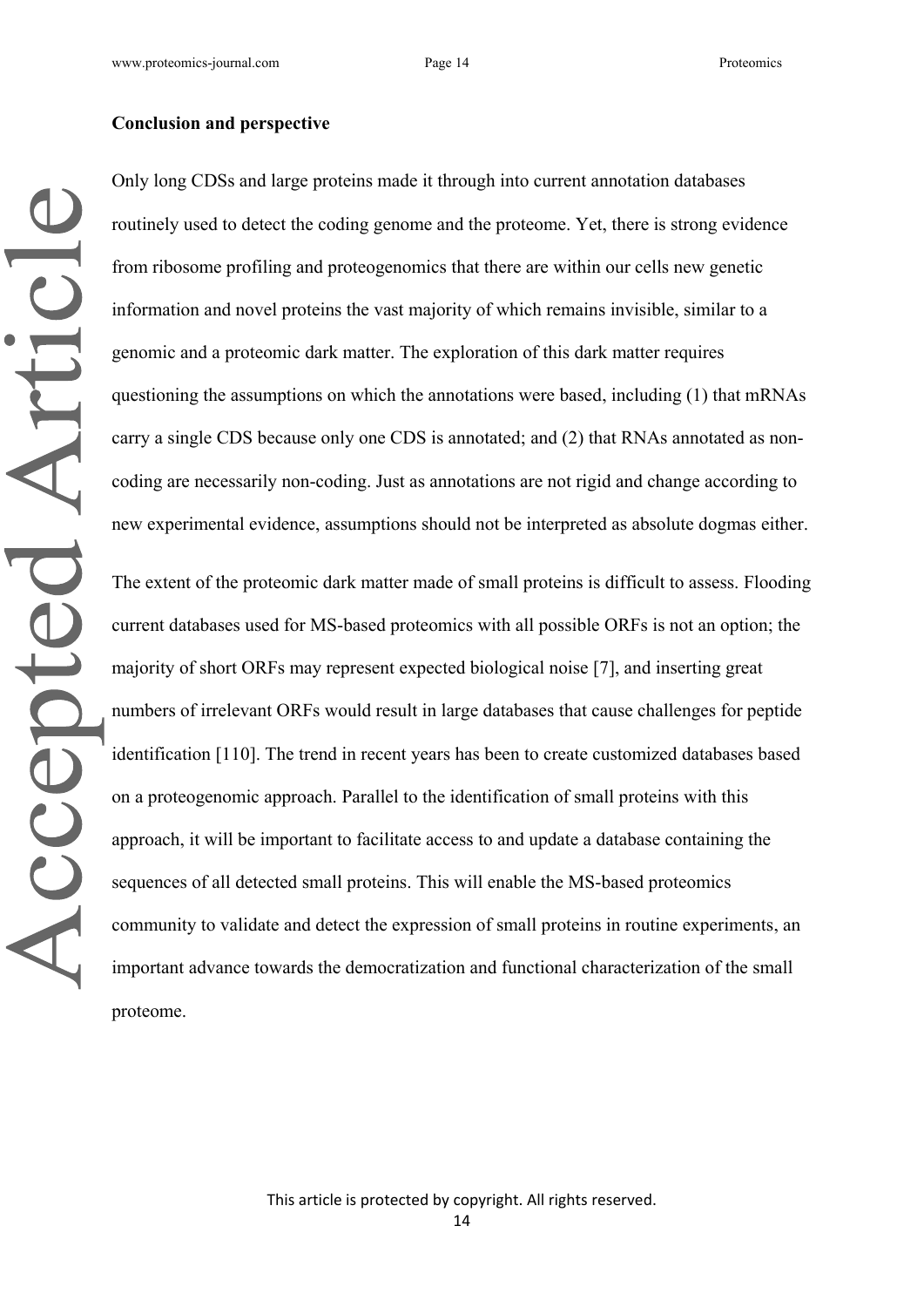#### **Conclusion and perspective**

Only long CDSs and large proteins made it through into current annotation databases routinely used to detect the coding genome and the proteome. Yet, there is strong evidence from ribosome profiling and proteogenomics that there are within our cells new genetic information and novel proteins the vast majority of which remains invisible, similar to a genomic and a proteomic dark matter. The exploration of this dark matter requires questioning the assumptions on which the annotations were based, including (1) that mRNAs carry a single CDS because only one CDS is annotated; and (2) that RNAs annotated as noncoding are necessarily non-coding. Just as annotations are not rigid and change according to new experimental evidence, assumptions should not be interpreted as absolute dogmas either.

The extent of the proteomic dark matter made of small proteins is difficult to assess. Flooding current databases used for MS-based proteomics with all possible ORFs is not an option; the majority of short ORFs may represent expected biological noise [7], and inserting great numbers of irrelevant ORFs would result in large databases that cause challenges for peptide identification [110]. The trend in recent years has been to create customized databases based on a proteogenomic approach. Parallel to the identification of small proteins with this approach, it will be important to facilitate access to and update a database containing the sequences of all detected small proteins. This will enable the MS-based proteomics community to validate and detect the expression of small proteins in routine experiments, an important advance towards the democratization and functional characterization of the small proteome.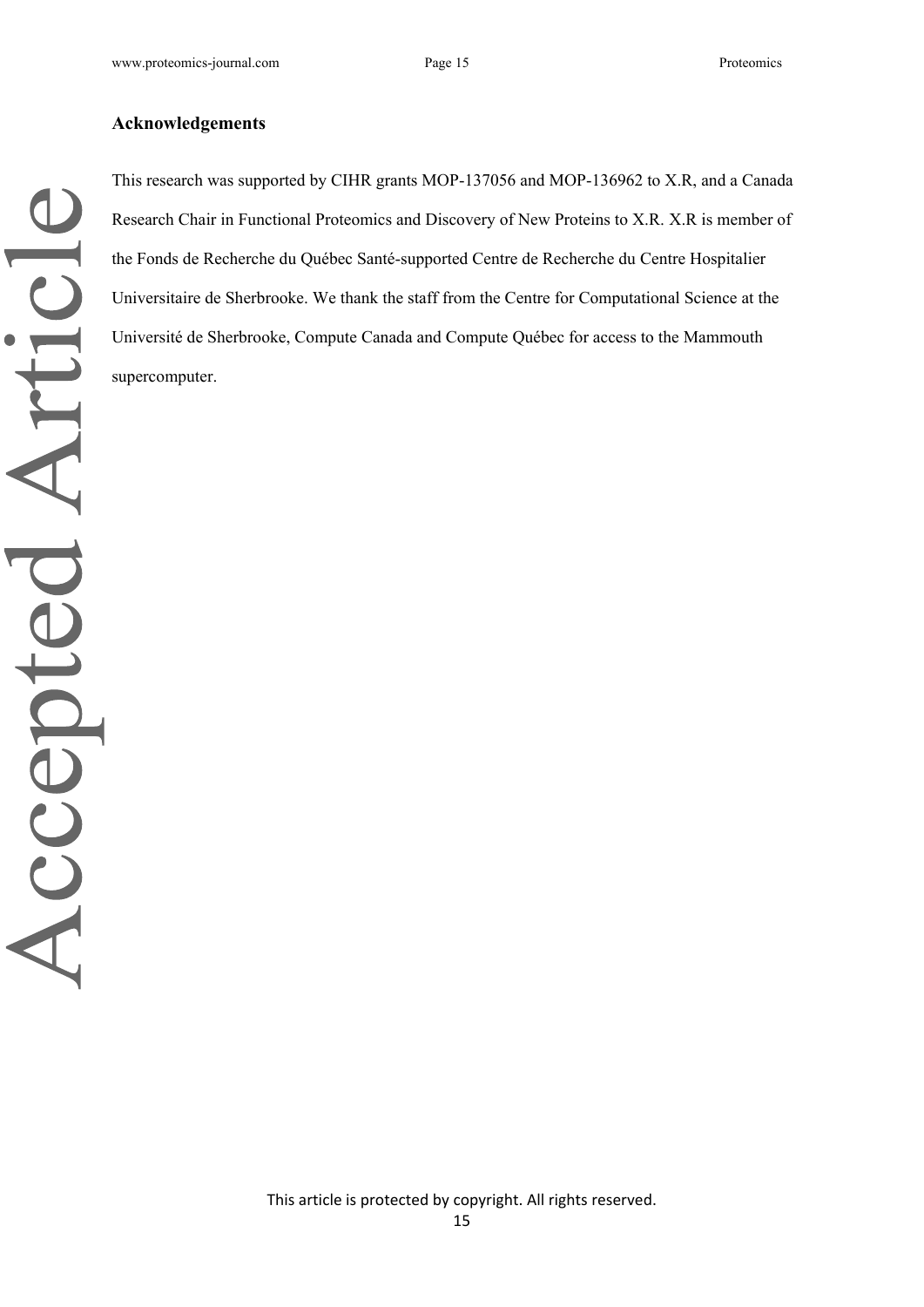#### **Acknowledgements**

This research was supported by CIHR grants MOP-137056 and MOP-136962 to X.R, and a Canada Research Chair in Functional Proteomics and Discovery of New Proteins to X.R. X.R is member of the Fonds de Recherche du Québec Santé-supported Centre de Recherche du Centre Hospitalier Universitaire de Sherbrooke. We thank the staff from the Centre for Computational Science at the Université de Sherbrooke, Compute Canada and Compute Québec for access to the Mammouth supercomputer.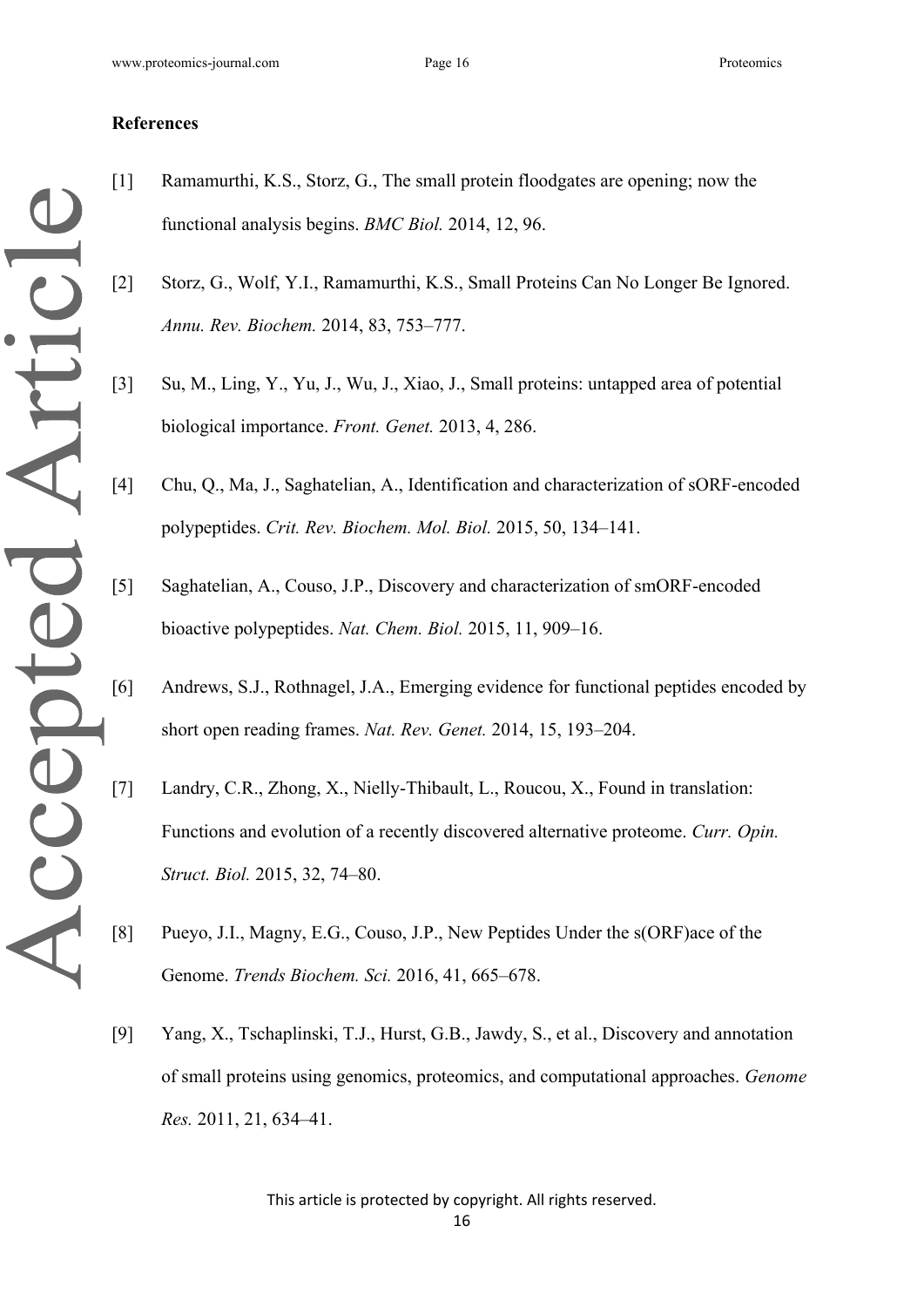#### **References**

- [1] Ramamurthi, K.S., Storz, G., The small protein floodgates are opening; now the functional analysis begins. *BMC Biol.* 2014, 12, 96.
- [2] Storz, G., Wolf, Y.I., Ramamurthi, K.S., Small Proteins Can No Longer Be Ignored. *Annu. Rev. Biochem.* 2014, 83, 753–777.
- [3] Su, M., Ling, Y., Yu, J., Wu, J., Xiao, J., Small proteins: untapped area of potential biological importance. *Front. Genet.* 2013, 4, 286.
- [4] Chu, Q., Ma, J., Saghatelian, A., Identification and characterization of sORF-encoded polypeptides. *Crit. Rev. Biochem. Mol. Biol.* 2015, 50, 134–141.
- [5] Saghatelian, A., Couso, J.P., Discovery and characterization of smORF-encoded bioactive polypeptides. *Nat. Chem. Biol.* 2015, 11, 909–16.
- [6] Andrews, S.J., Rothnagel, J.A., Emerging evidence for functional peptides encoded by short open reading frames. *Nat. Rev. Genet.* 2014, 15, 193–204.
- [7] Landry, C.R., Zhong, X., Nielly-Thibault, L., Roucou, X., Found in translation: Functions and evolution of a recently discovered alternative proteome. *Curr. Opin. Struct. Biol.* 2015, 32, 74–80.
- [8] Pueyo, J.I., Magny, E.G., Couso, J.P., New Peptides Under the s(ORF)ace of the Genome. *Trends Biochem. Sci.* 2016, 41, 665–678.
- [9] Yang, X., Tschaplinski, T.J., Hurst, G.B., Jawdy, S., et al., Discovery and annotation of small proteins using genomics, proteomics, and computational approaches. *Genome Res.* 2011, 21, 634–41.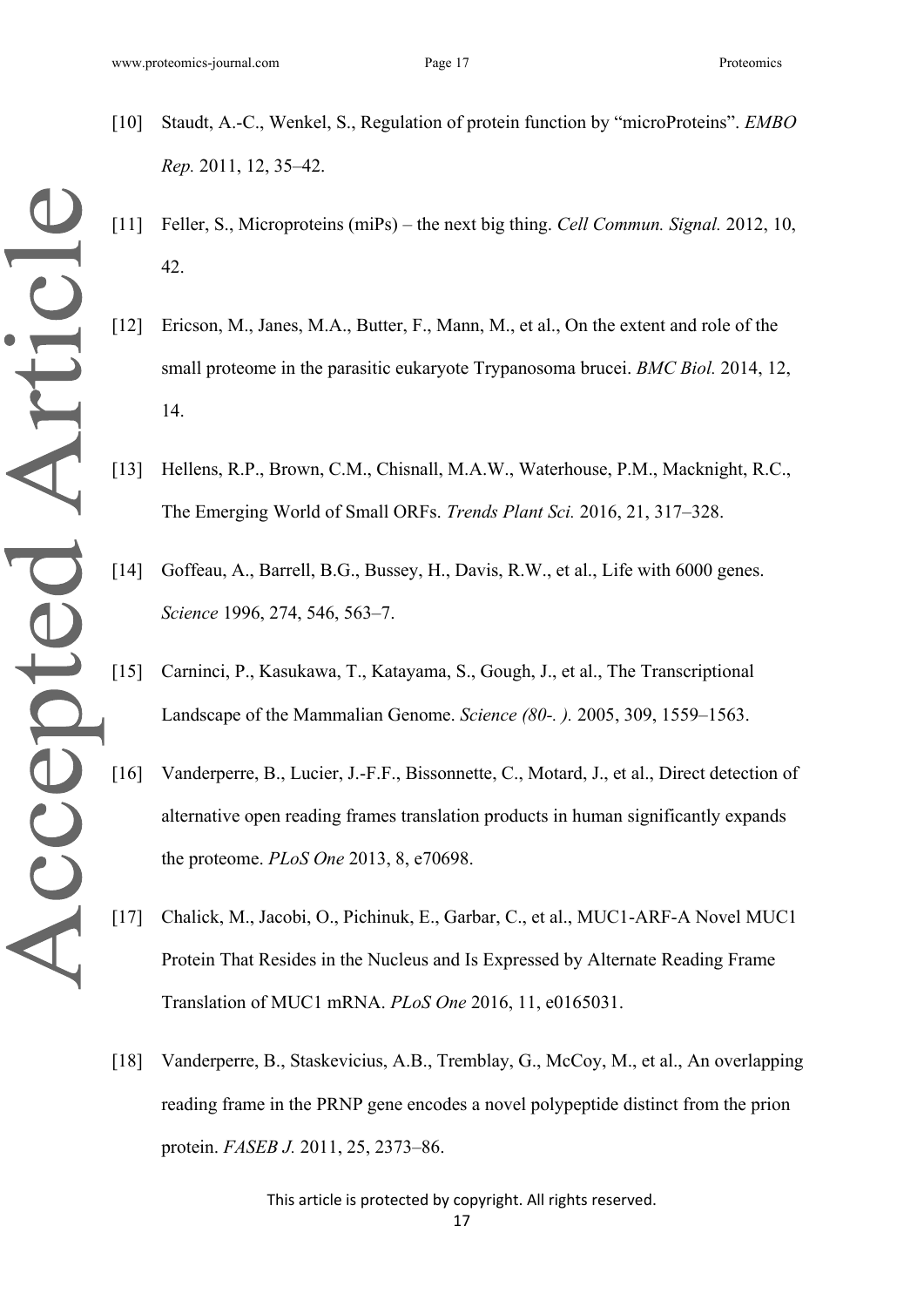- [10] Staudt, A.-C., Wenkel, S., Regulation of protein function by "microProteins". *EMBO Rep.* 2011, 12, 35–42.
- [11] Feller, S., Microproteins (miPs) the next big thing. *Cell Commun. Signal.* 2012, 10, 42.
- [12] Ericson, M., Janes, M.A., Butter, F., Mann, M., et al., On the extent and role of the small proteome in the parasitic eukaryote Trypanosoma brucei. *BMC Biol.* 2014, 12, 14.
- [13] Hellens, R.P., Brown, C.M., Chisnall, M.A.W., Waterhouse, P.M., Macknight, R.C., The Emerging World of Small ORFs. *Trends Plant Sci.* 2016, 21, 317–328.
- [14] Goffeau, A., Barrell, B.G., Bussey, H., Davis, R.W., et al., Life with 6000 genes. *Science* 1996, 274, 546, 563–7.
- [15] Carninci, P., Kasukawa, T., Katayama, S., Gough, J., et al., The Transcriptional Landscape of the Mammalian Genome. *Science (80-. ).* 2005, 309, 1559–1563.
- [16] Vanderperre, B., Lucier, J.-F.F., Bissonnette, C., Motard, J., et al., Direct detection of alternative open reading frames translation products in human significantly expands the proteome. *PLoS One* 2013, 8, e70698.
- [17] Chalick, M., Jacobi, O., Pichinuk, E., Garbar, C., et al., MUC1-ARF-A Novel MUC1 Protein That Resides in the Nucleus and Is Expressed by Alternate Reading Frame Translation of MUC1 mRNA. *PLoS One* 2016, 11, e0165031.
- [18] Vanderperre, B., Staskevicius, A.B., Tremblay, G., McCoy, M., et al., An overlapping reading frame in the PRNP gene encodes a novel polypeptide distinct from the prion protein. *FASEB J.* 2011, 25, 2373–86.

This article is protected by copyright. All rights reserved.

Accepted Article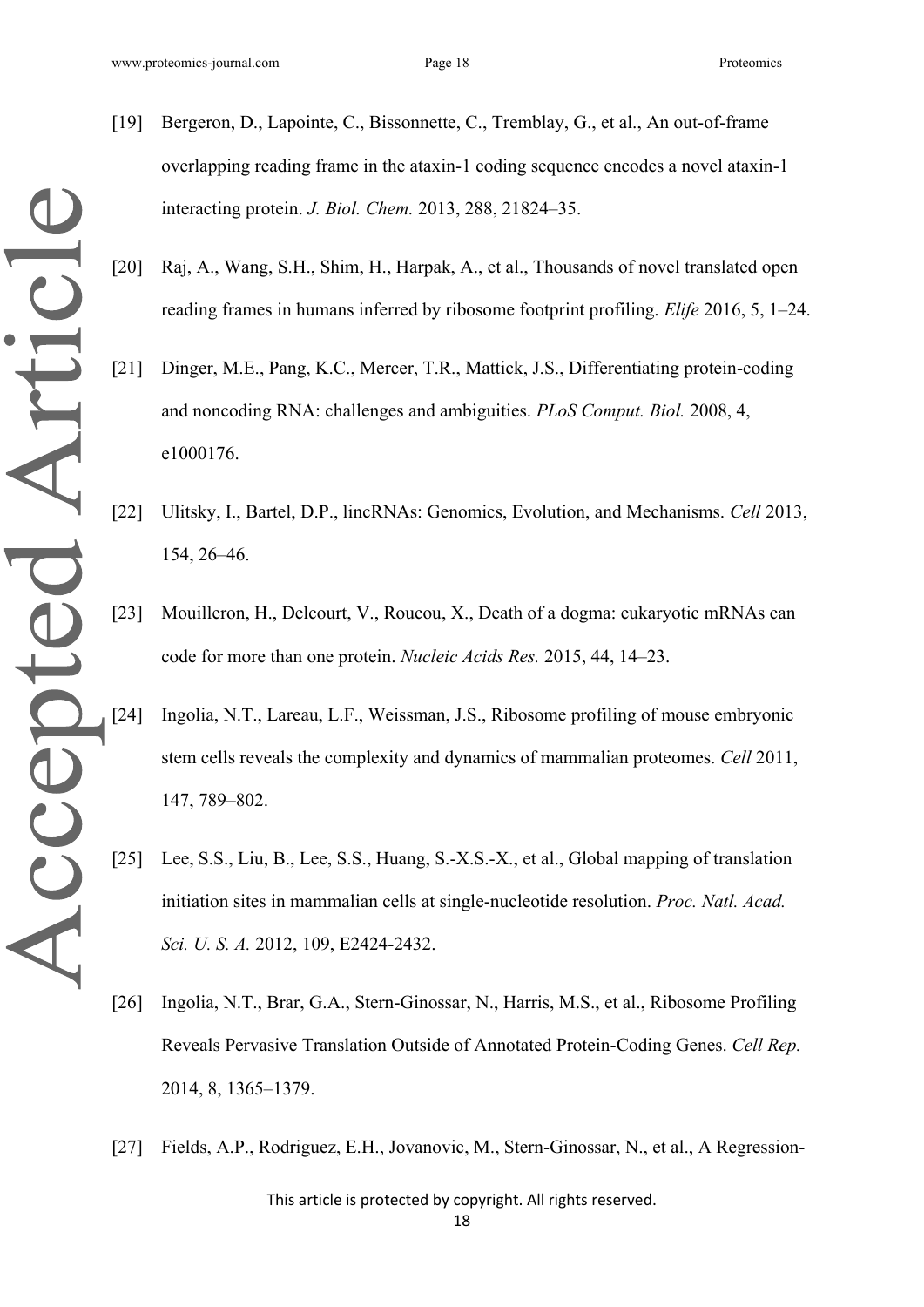- Accepted Article
- [19] Bergeron, D., Lapointe, C., Bissonnette, C., Tremblay, G., et al., An out-of-frame overlapping reading frame in the ataxin-1 coding sequence encodes a novel ataxin-1 interacting protein. *J. Biol. Chem.* 2013, 288, 21824–35.
	- [20] Raj, A., Wang, S.H., Shim, H., Harpak, A., et al., Thousands of novel translated open reading frames in humans inferred by ribosome footprint profiling. *Elife* 2016, 5, 1–24.
	- [21] Dinger, M.E., Pang, K.C., Mercer, T.R., Mattick, J.S., Differentiating protein-coding and noncoding RNA: challenges and ambiguities. *PLoS Comput. Biol.* 2008, 4, e1000176.
	- [22] Ulitsky, I., Bartel, D.P., lincRNAs: Genomics, Evolution, and Mechanisms. *Cell* 2013, 154, 26–46.
	- [23] Mouilleron, H., Delcourt, V., Roucou, X., Death of a dogma: eukaryotic mRNAs can code for more than one protein. *Nucleic Acids Res.* 2015, 44, 14–23.
	- [24] Ingolia, N.T., Lareau, L.F., Weissman, J.S., Ribosome profiling of mouse embryonic stem cells reveals the complexity and dynamics of mammalian proteomes. *Cell* 2011, 147, 789–802.
	- [25] Lee, S.S., Liu, B., Lee, S.S., Huang, S.-X.S.-X., et al., Global mapping of translation initiation sites in mammalian cells at single-nucleotide resolution. *Proc. Natl. Acad. Sci. U. S. A.* 2012, 109, E2424-2432.
	- [26] Ingolia, N.T., Brar, G.A., Stern-Ginossar, N., Harris, M.S., et al., Ribosome Profiling Reveals Pervasive Translation Outside of Annotated Protein-Coding Genes. *Cell Rep.* 2014, 8, 1365–1379.
	- [27] Fields, A.P., Rodriguez, E.H., Jovanovic, M., Stern-Ginossar, N., et al., A Regression-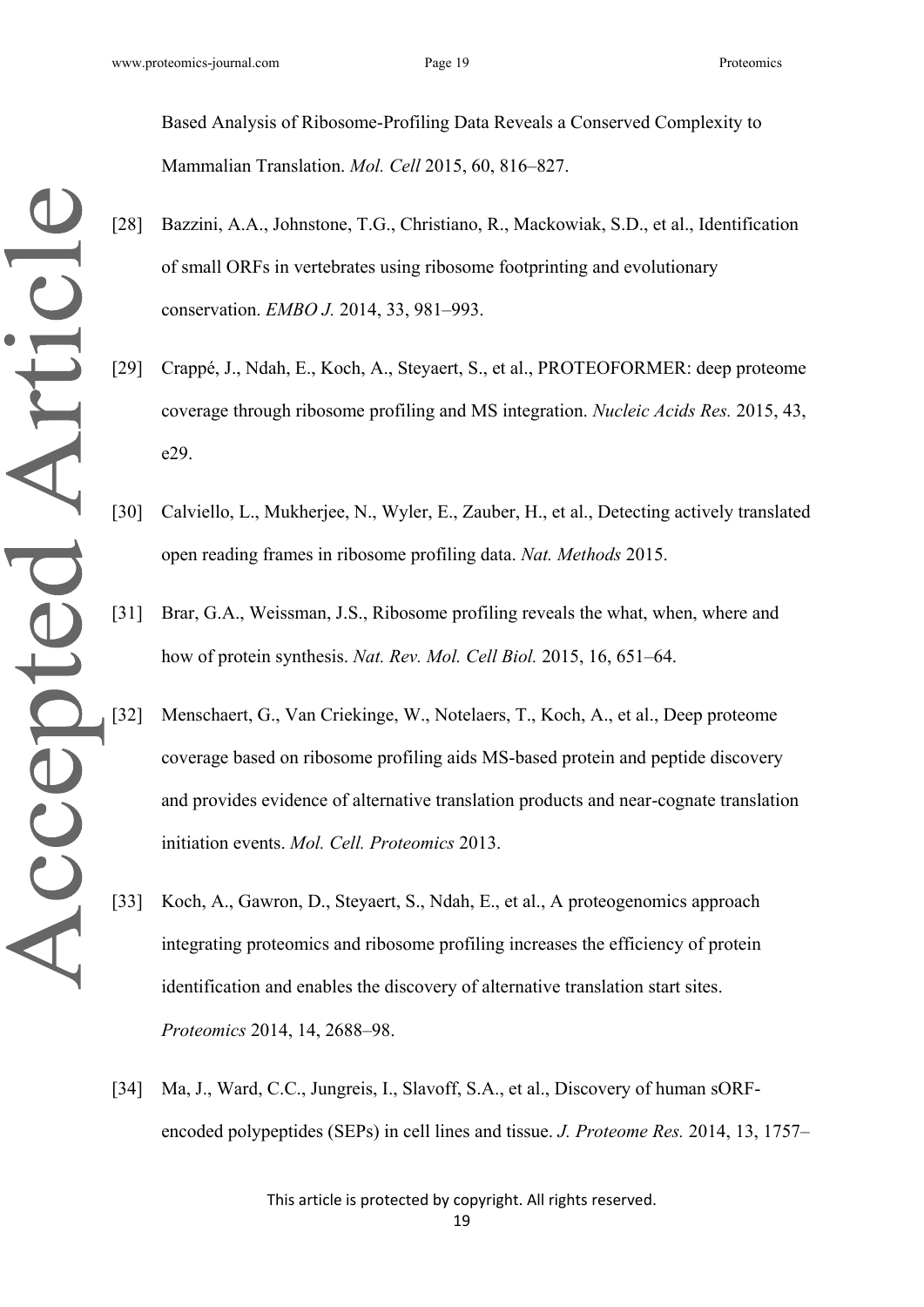Based Analysis of Ribosome-Profiling Data Reveals a Conserved Complexity to Mammalian Translation. *Mol. Cell* 2015, 60, 816–827.

- [28] Bazzini, A.A., Johnstone, T.G., Christiano, R., Mackowiak, S.D., et al., Identification of small ORFs in vertebrates using ribosome footprinting and evolutionary conservation. *EMBO J.* 2014, 33, 981–993.
- [29] Crappé, J., Ndah, E., Koch, A., Steyaert, S., et al., PROTEOFORMER: deep proteome coverage through ribosome profiling and MS integration. *Nucleic Acids Res.* 2015, 43, e29.
- [30] Calviello, L., Mukherjee, N., Wyler, E., Zauber, H., et al., Detecting actively translated open reading frames in ribosome profiling data. *Nat. Methods* 2015.
- [31] Brar, G.A., Weissman, J.S., Ribosome profiling reveals the what, when, where and how of protein synthesis. *Nat. Rev. Mol. Cell Biol.* 2015, 16, 651–64.
- [32] Menschaert, G., Van Criekinge, W., Notelaers, T., Koch, A., et al., Deep proteome coverage based on ribosome profiling aids MS-based protein and peptide discovery and provides evidence of alternative translation products and near-cognate translation initiation events. *Mol. Cell. Proteomics* 2013.
- [33] Koch, A., Gawron, D., Steyaert, S., Ndah, E., et al., A proteogenomics approach integrating proteomics and ribosome profiling increases the efficiency of protein identification and enables the discovery of alternative translation start sites. *Proteomics* 2014, 14, 2688–98.
- [34] Ma, J., Ward, C.C., Jungreis, I., Slavoff, S.A., et al., Discovery of human sORFencoded polypeptides (SEPs) in cell lines and tissue. *J. Proteome Res.* 2014, 13, 1757–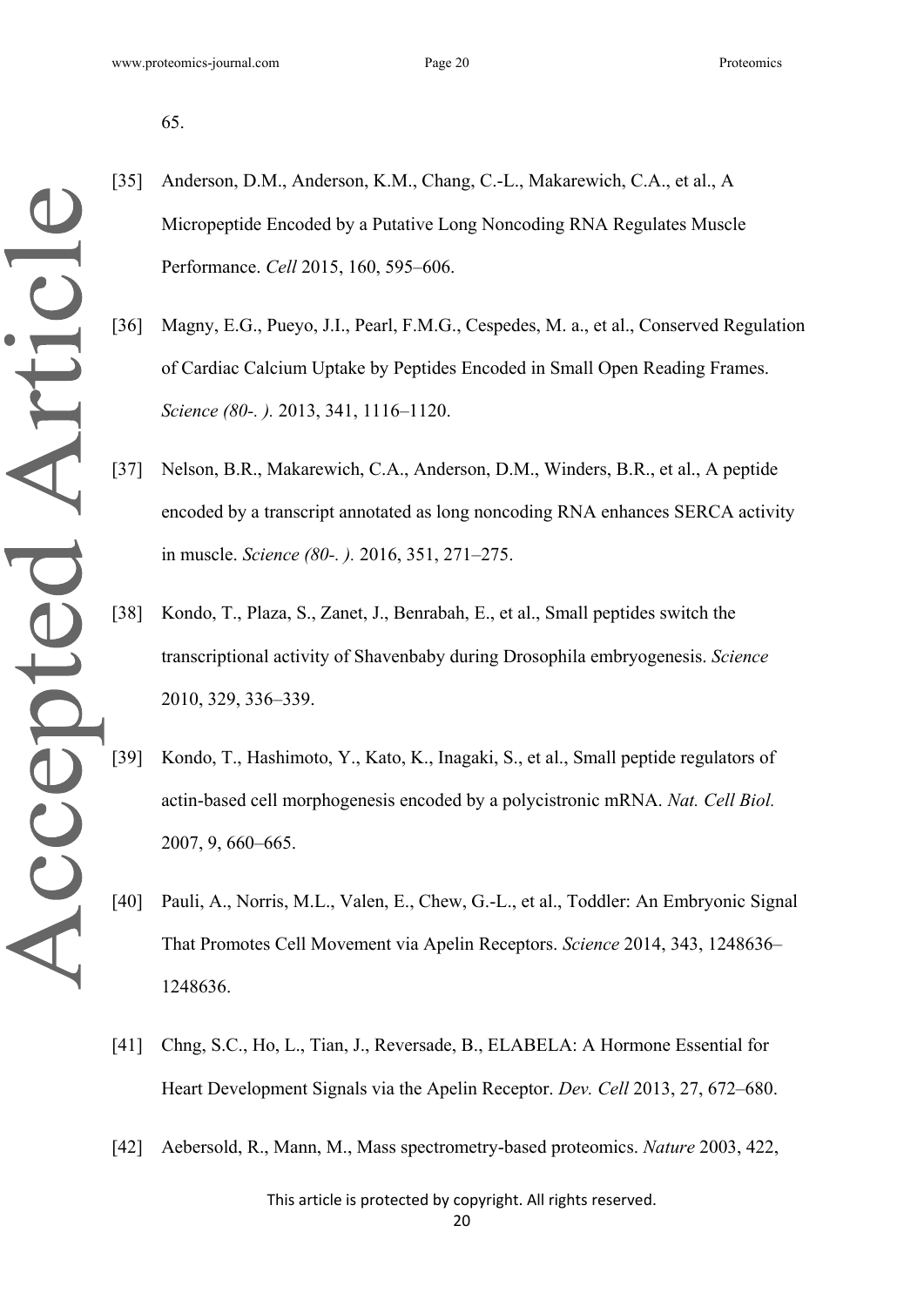65.

- [35] Anderson, D.M., Anderson, K.M., Chang, C.-L., Makarewich, C.A., et al., A Micropeptide Encoded by a Putative Long Noncoding RNA Regulates Muscle Performance. *Cell* 2015, 160, 595–606.
- [36] Magny, E.G., Pueyo, J.I., Pearl, F.M.G., Cespedes, M. a., et al., Conserved Regulation of Cardiac Calcium Uptake by Peptides Encoded in Small Open Reading Frames. *Science (80-. ).* 2013, 341, 1116–1120.
- [37] Nelson, B.R., Makarewich, C.A., Anderson, D.M., Winders, B.R., et al., A peptide encoded by a transcript annotated as long noncoding RNA enhances SERCA activity in muscle. *Science (80-. ).* 2016, 351, 271–275.
- [38] Kondo, T., Plaza, S., Zanet, J., Benrabah, E., et al., Small peptides switch the transcriptional activity of Shavenbaby during Drosophila embryogenesis. *Science* 2010, 329, 336–339.
- [39] Kondo, T., Hashimoto, Y., Kato, K., Inagaki, S., et al., Small peptide regulators of actin-based cell morphogenesis encoded by a polycistronic mRNA. *Nat. Cell Biol.* 2007, 9, 660–665.
- [40] Pauli, A., Norris, M.L., Valen, E., Chew, G.-L., et al., Toddler: An Embryonic Signal That Promotes Cell Movement via Apelin Receptors. *Science* 2014, 343, 1248636– 1248636.
- [41] Chng, S.C., Ho, L., Tian, J., Reversade, B., ELABELA: A Hormone Essential for Heart Development Signals via the Apelin Receptor. *Dev. Cell* 2013, 27, 672–680.
- [42] Aebersold, R., Mann, M., Mass spectrometry-based proteomics. *Nature* 2003, 422,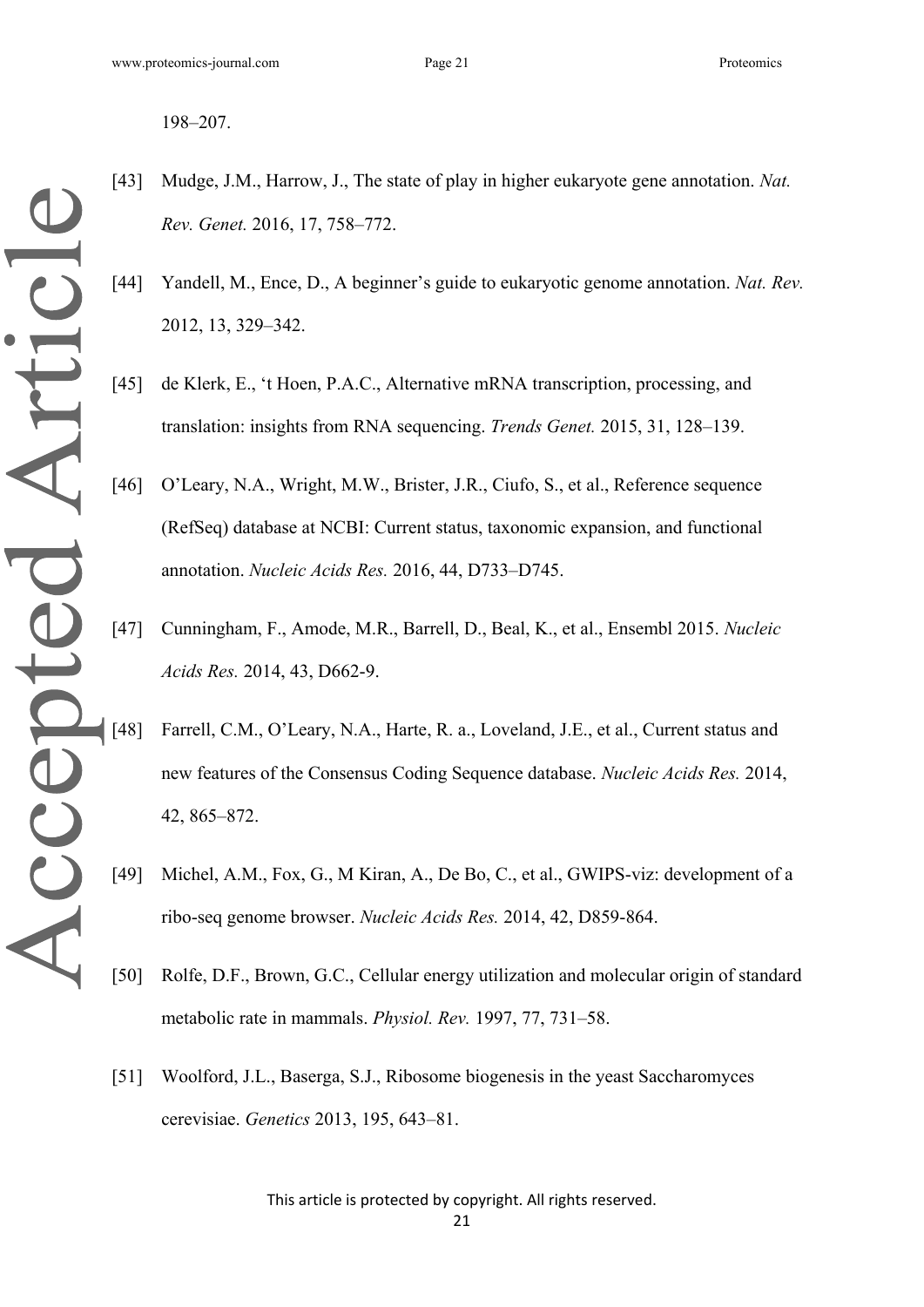198–207.

- [43] Mudge, J.M., Harrow, J., The state of play in higher eukaryote gene annotation. *Nat. Rev. Genet.* 2016, 17, 758–772.
	- [44] Yandell, M., Ence, D., A beginner's guide to eukaryotic genome annotation. *Nat. Rev.* 2012, 13, 329–342.
	- [45] de Klerk, E., 't Hoen, P.A.C., Alternative mRNA transcription, processing, and translation: insights from RNA sequencing. *Trends Genet.* 2015, 31, 128–139.
	- [46] O"Leary, N.A., Wright, M.W., Brister, J.R., Ciufo, S., et al., Reference sequence (RefSeq) database at NCBI: Current status, taxonomic expansion, and functional annotation. *Nucleic Acids Res.* 2016, 44, D733–D745.
	- [47] Cunningham, F., Amode, M.R., Barrell, D., Beal, K., et al., Ensembl 2015. *Nucleic Acids Res.* 2014, 43, D662-9.
- [48] Farrell, C.M., O"Leary, N.A., Harte, R. a., Loveland, J.E., et al., Current status and new features of the Consensus Coding Sequence database. *Nucleic Acids Res.* 2014, 42, 865–872.
	- [49] Michel, A.M., Fox, G., M Kiran, A., De Bo, C., et al., GWIPS-viz: development of a ribo-seq genome browser. *Nucleic Acids Res.* 2014, 42, D859-864.
	- [50] Rolfe, D.F., Brown, G.C., Cellular energy utilization and molecular origin of standard metabolic rate in mammals. *Physiol. Rev.* 1997, 77, 731–58.
	- [51] Woolford, J.L., Baserga, S.J., Ribosome biogenesis in the yeast Saccharomyces cerevisiae. *Genetics* 2013, 195, 643–81.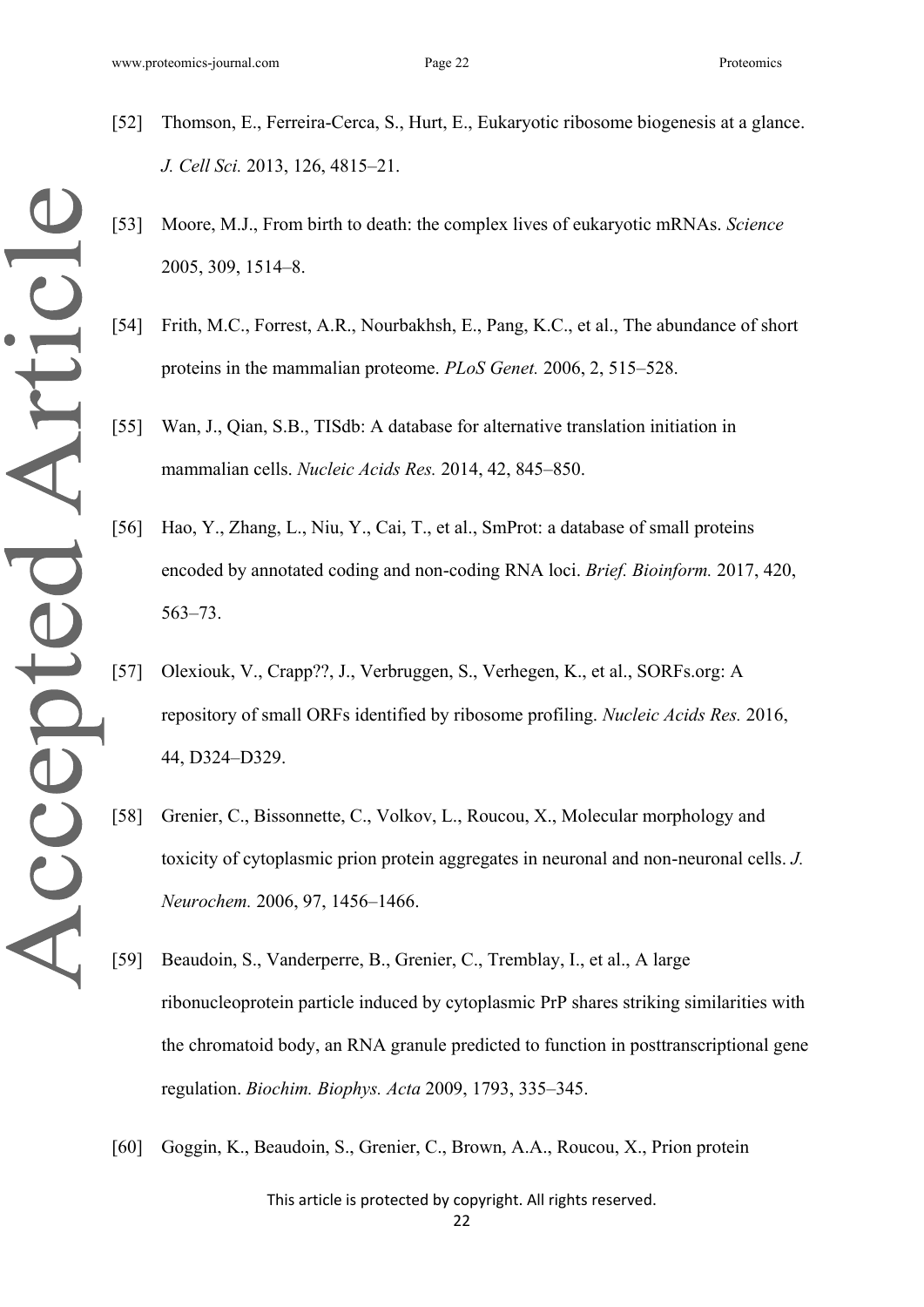Accepted Article

- [52] Thomson, E., Ferreira-Cerca, S., Hurt, E., Eukaryotic ribosome biogenesis at a glance. *J. Cell Sci.* 2013, 126, 4815–21.
- [53] Moore, M.J., From birth to death: the complex lives of eukaryotic mRNAs. *Science* 2005, 309, 1514–8.
- [54] Frith, M.C., Forrest, A.R., Nourbakhsh, E., Pang, K.C., et al., The abundance of short proteins in the mammalian proteome. *PLoS Genet.* 2006, 2, 515–528.
- [55] Wan, J., Qian, S.B., TISdb: A database for alternative translation initiation in mammalian cells. *Nucleic Acids Res.* 2014, 42, 845–850.
- [56] Hao, Y., Zhang, L., Niu, Y., Cai, T., et al., SmProt: a database of small proteins encoded by annotated coding and non-coding RNA loci. *Brief. Bioinform.* 2017, 420, 563–73.
- [57] Olexiouk, V., Crapp??, J., Verbruggen, S., Verhegen, K., et al., SORFs.org: A repository of small ORFs identified by ribosome profiling. *Nucleic Acids Res.* 2016, 44, D324–D329.
- [58] Grenier, C., Bissonnette, C., Volkov, L., Roucou, X., Molecular morphology and toxicity of cytoplasmic prion protein aggregates in neuronal and non-neuronal cells. *J. Neurochem.* 2006, 97, 1456–1466.
- [59] Beaudoin, S., Vanderperre, B., Grenier, C., Tremblay, I., et al., A large ribonucleoprotein particle induced by cytoplasmic PrP shares striking similarities with the chromatoid body, an RNA granule predicted to function in posttranscriptional gene regulation. *Biochim. Biophys. Acta* 2009, 1793, 335–345.
- [60] Goggin, K., Beaudoin, S., Grenier, C., Brown, A.A., Roucou, X., Prion protein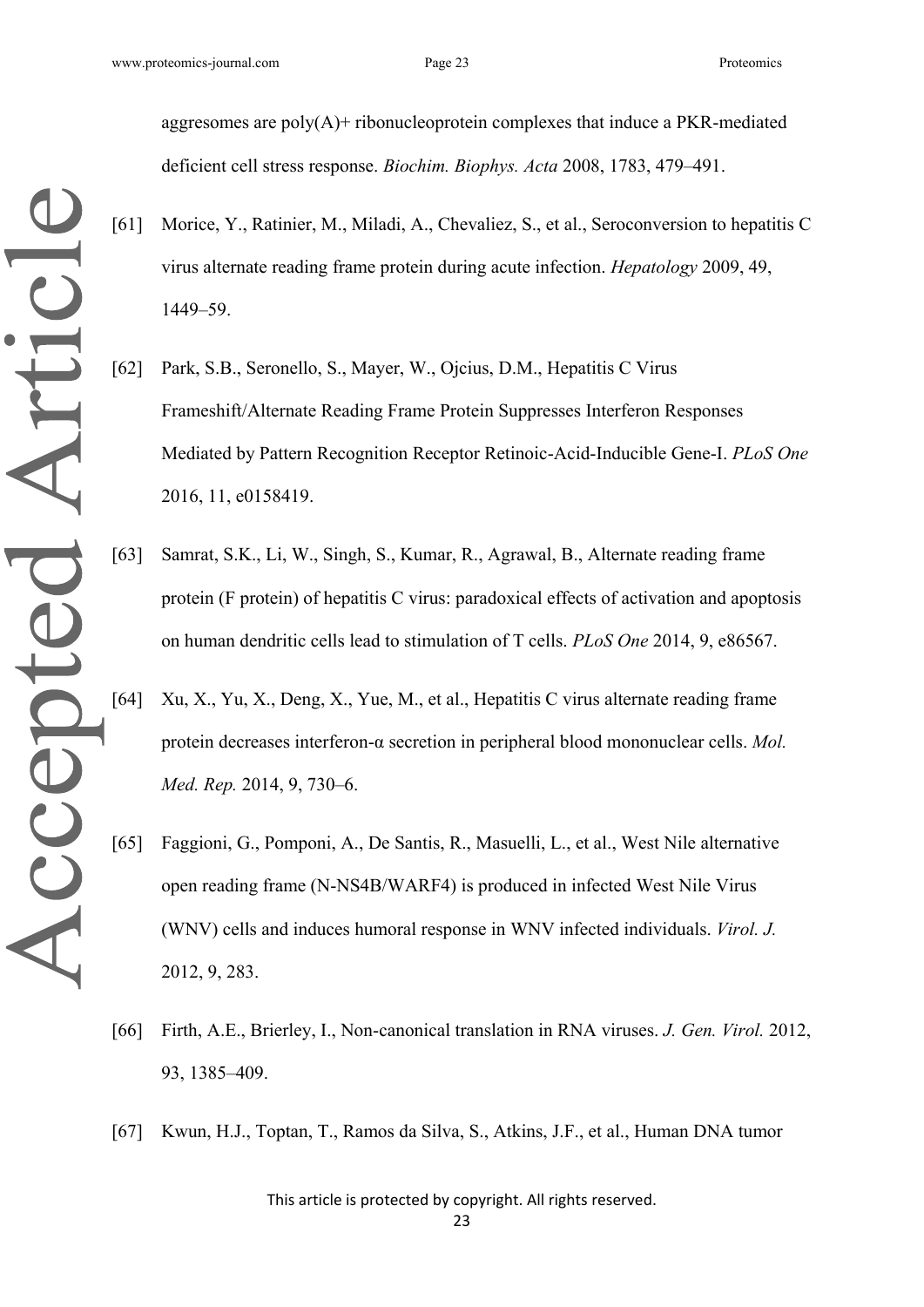aggresomes are  $poly(A)$ + ribonucleoprotein complexes that induce a PKR-mediated deficient cell stress response. *Biochim. Biophys. Acta* 2008, 1783, 479–491.

- [61] Morice, Y., Ratinier, M., Miladi, A., Chevaliez, S., et al., Seroconversion to hepatitis C virus alternate reading frame protein during acute infection. *Hepatology* 2009, 49, 1449–59.
- [62] Park, S.B., Seronello, S., Mayer, W., Ojcius, D.M., Hepatitis C Virus Frameshift/Alternate Reading Frame Protein Suppresses Interferon Responses Mediated by Pattern Recognition Receptor Retinoic-Acid-Inducible Gene-I. *PLoS One* 2016, 11, e0158419.
- [63] Samrat, S.K., Li, W., Singh, S., Kumar, R., Agrawal, B., Alternate reading frame protein (F protein) of hepatitis C virus: paradoxical effects of activation and apoptosis on human dendritic cells lead to stimulation of T cells. *PLoS One* 2014, 9, e86567.
- [64] Xu, X., Yu, X., Deng, X., Yue, M., et al., Hepatitis C virus alternate reading frame protein decreases interferon-α secretion in peripheral blood mononuclear cells. *Mol. Med. Rep.* 2014, 9, 730–6.
- [65] Faggioni, G., Pomponi, A., De Santis, R., Masuelli, L., et al., West Nile alternative open reading frame (N-NS4B/WARF4) is produced in infected West Nile Virus (WNV) cells and induces humoral response in WNV infected individuals. *Virol. J.* 2012, 9, 283.
- [66] Firth, A.E., Brierley, I., Non-canonical translation in RNA viruses. *J. Gen. Virol.* 2012, 93, 1385–409.
- [67] Kwun, H.J., Toptan, T., Ramos da Silva, S., Atkins, J.F., et al., Human DNA tumor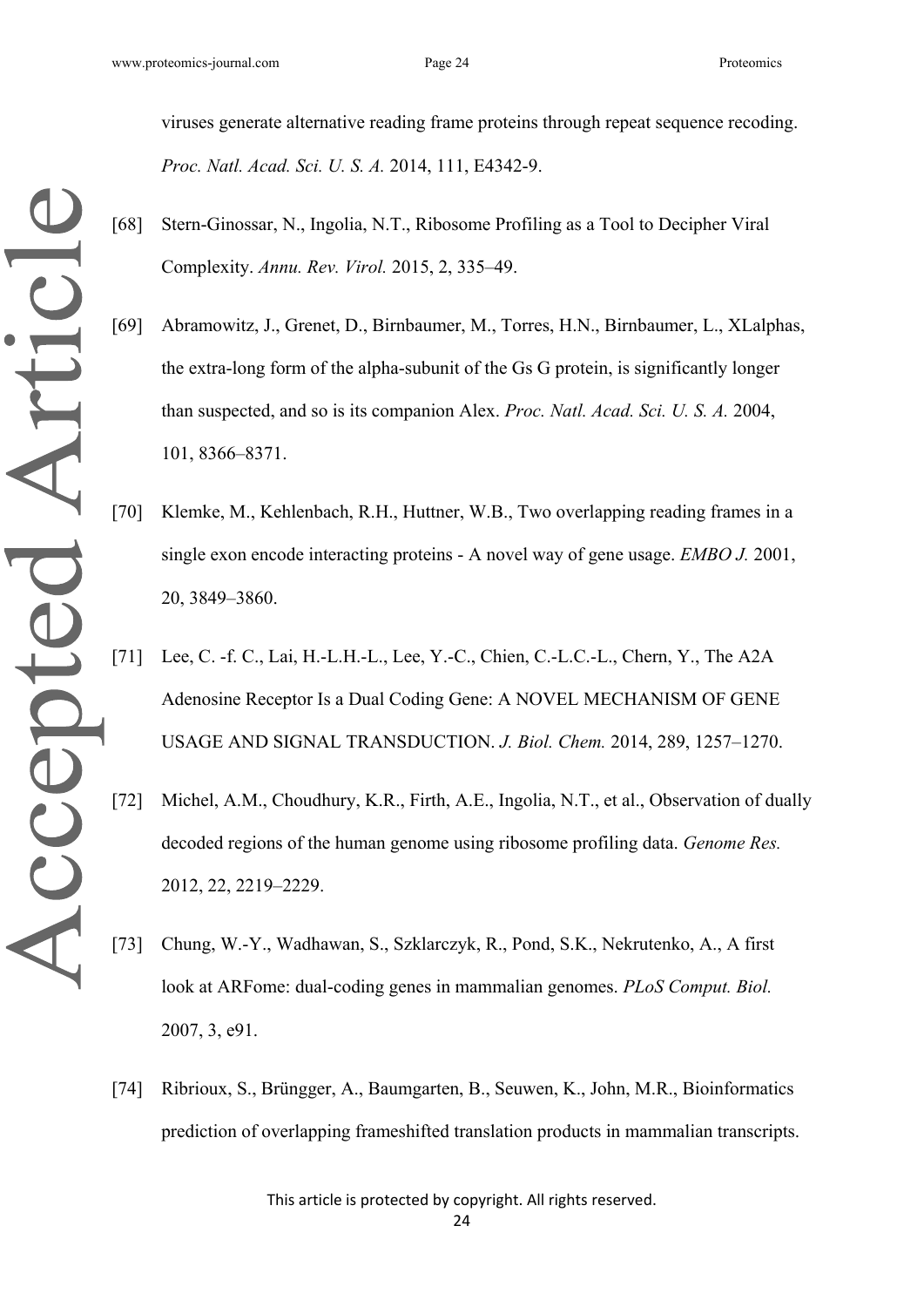viruses generate alternative reading frame proteins through repeat sequence recoding. *Proc. Natl. Acad. Sci. U. S. A.* 2014, 111, E4342-9.

- [68] Stern-Ginossar, N., Ingolia, N.T., Ribosome Profiling as a Tool to Decipher Viral Complexity. *Annu. Rev. Virol.* 2015, 2, 335–49.
- [69] Abramowitz, J., Grenet, D., Birnbaumer, M., Torres, H.N., Birnbaumer, L., XLalphas, the extra-long form of the alpha-subunit of the Gs G protein, is significantly longer than suspected, and so is its companion Alex. *Proc. Natl. Acad. Sci. U. S. A.* 2004, 101, 8366–8371.
- [70] Klemke, M., Kehlenbach, R.H., Huttner, W.B., Two overlapping reading frames in a single exon encode interacting proteins - A novel way of gene usage. *EMBO J.* 2001, 20, 3849–3860.
- [71] Lee, C. -f. C., Lai, H.-L.H.-L., Lee, Y.-C., Chien, C.-L.C.-L., Chern, Y., The A2A Adenosine Receptor Is a Dual Coding Gene: A NOVEL MECHANISM OF GENE USAGE AND SIGNAL TRANSDUCTION. *J. Biol. Chem.* 2014, 289, 1257–1270.
- [72] Michel, A.M., Choudhury, K.R., Firth, A.E., Ingolia, N.T., et al., Observation of dually decoded regions of the human genome using ribosome profiling data. *Genome Res.* 2012, 22, 2219–2229.
- [73] Chung, W.-Y., Wadhawan, S., Szklarczyk, R., Pond, S.K., Nekrutenko, A., A first look at ARFome: dual-coding genes in mammalian genomes. *PLoS Comput. Biol.* 2007, 3, e91.
- [74] Ribrioux, S., Brüngger, A., Baumgarten, B., Seuwen, K., John, M.R., Bioinformatics prediction of overlapping frameshifted translation products in mammalian transcripts.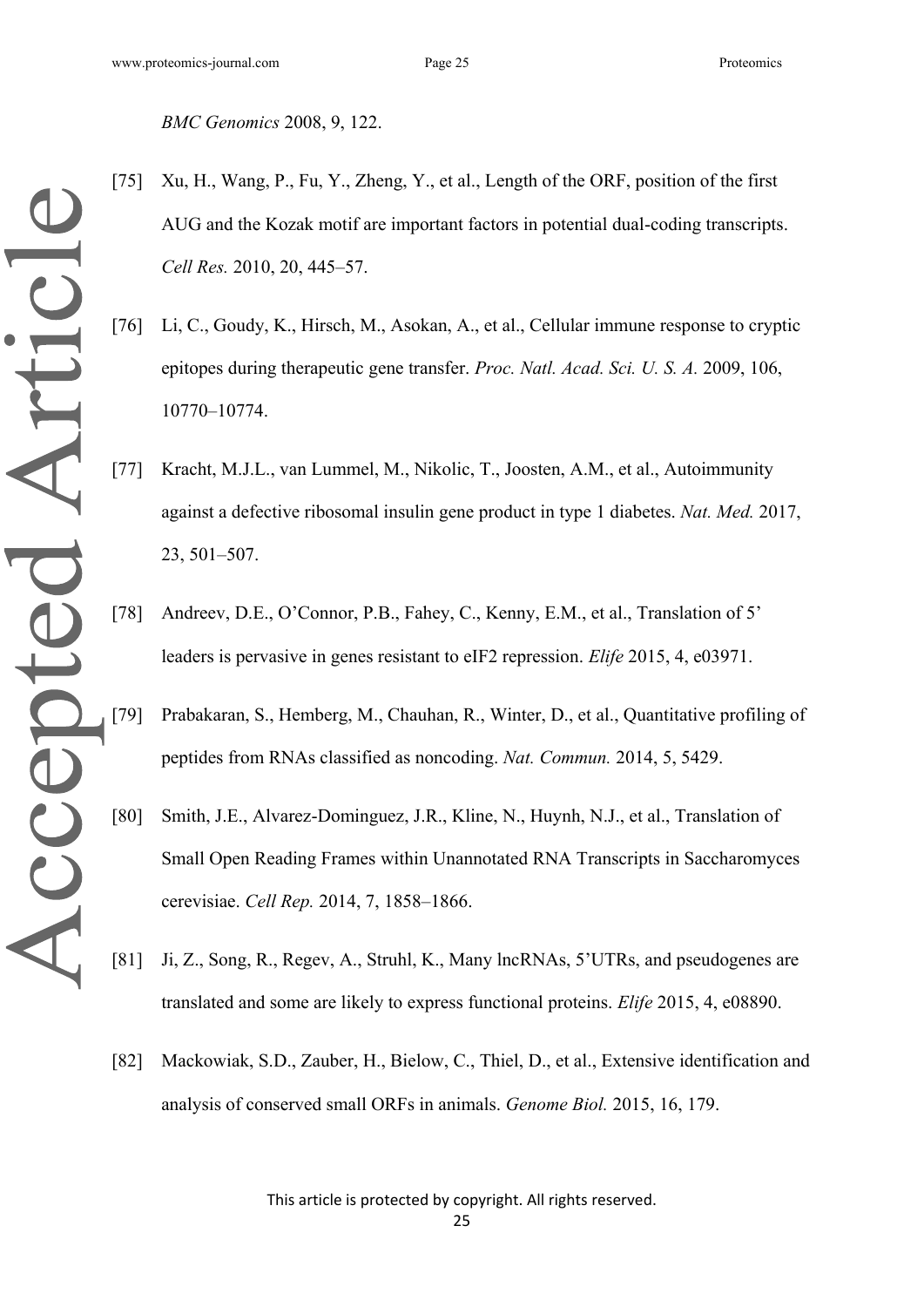*BMC Genomics* 2008, 9, 122.

- [75] Xu, H., Wang, P., Fu, Y., Zheng, Y., et al., Length of the ORF, position of the first AUG and the Kozak motif are important factors in potential dual-coding transcripts. *Cell Res.* 2010, 20, 445–57.
- [76] Li, C., Goudy, K., Hirsch, M., Asokan, A., et al., Cellular immune response to cryptic epitopes during therapeutic gene transfer. *Proc. Natl. Acad. Sci. U. S. A.* 2009, 106, 10770–10774.
- [77] Kracht, M.J.L., van Lummel, M., Nikolic, T., Joosten, A.M., et al., Autoimmunity against a defective ribosomal insulin gene product in type 1 diabetes. *Nat. Med.* 2017, 23, 501–507.
- [78] Andreev, D.E., O'Connor, P.B., Fahey, C., Kenny, E.M., et al., Translation of 5' leaders is pervasive in genes resistant to eIF2 repression. *Elife* 2015, 4, e03971.
- [79] Prabakaran, S., Hemberg, M., Chauhan, R., Winter, D., et al., Quantitative profiling of peptides from RNAs classified as noncoding. *Nat. Commun.* 2014, 5, 5429.
- [80] Smith, J.E., Alvarez-Dominguez, J.R., Kline, N., Huynh, N.J., et al., Translation of Small Open Reading Frames within Unannotated RNA Transcripts in Saccharomyces cerevisiae. *Cell Rep.* 2014, 7, 1858–1866.
- [81] Ji, Z., Song, R., Regev, A., Struhl, K., Many lncRNAs, 5"UTRs, and pseudogenes are translated and some are likely to express functional proteins. *Elife* 2015, 4, e08890.
- [82] Mackowiak, S.D., Zauber, H., Bielow, C., Thiel, D., et al., Extensive identification and analysis of conserved small ORFs in animals. *Genome Biol.* 2015, 16, 179.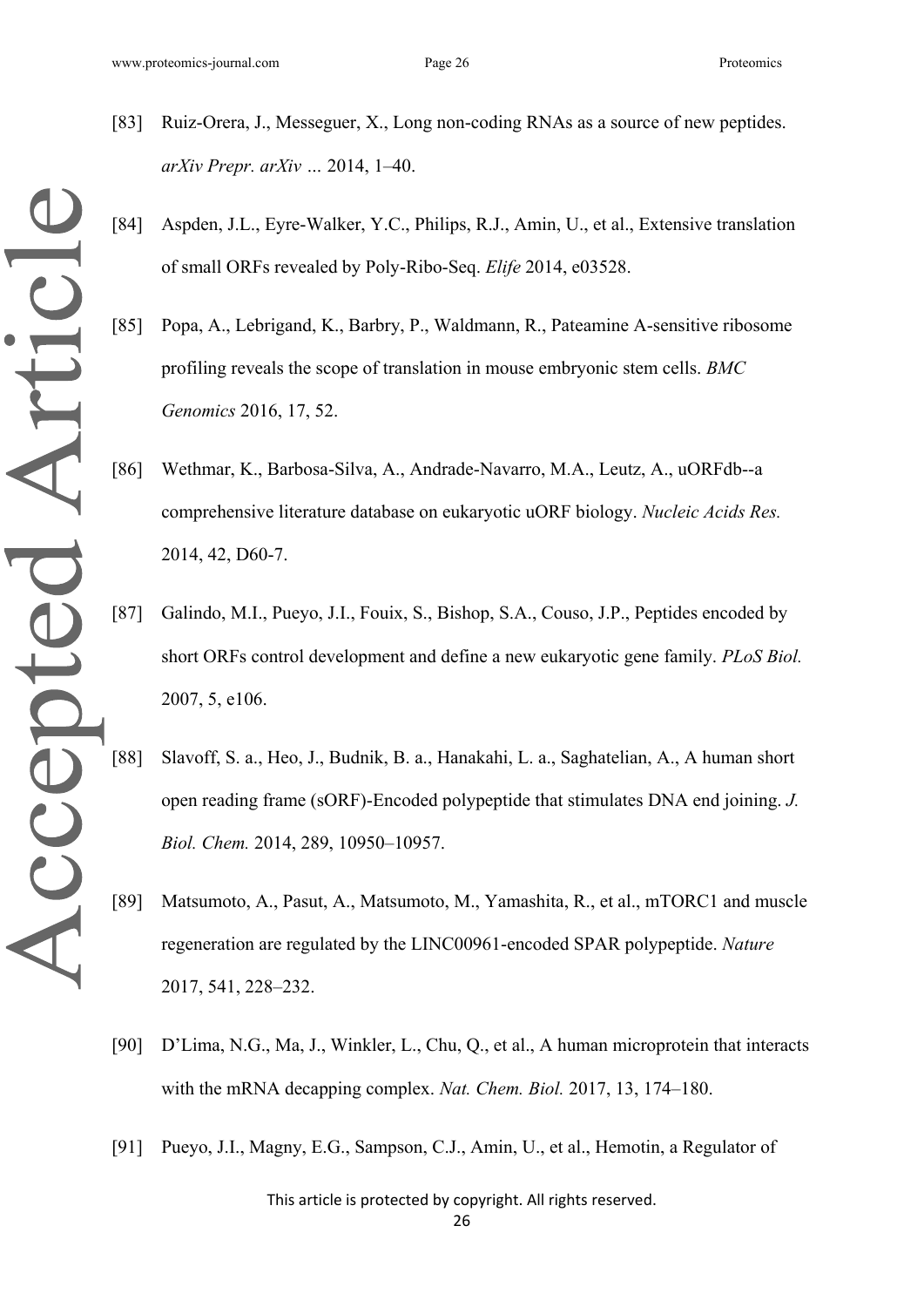Accepted Article

- [83] Ruiz-Orera, J., Messeguer, X., Long non-coding RNAs as a source of new peptides. *arXiv Prepr. arXiv …* 2014, 1–40.
- [84] Aspden, J.L., Eyre-Walker, Y.C., Philips, R.J., Amin, U., et al., Extensive translation of small ORFs revealed by Poly-Ribo-Seq. *Elife* 2014, e03528.
- [85] Popa, A., Lebrigand, K., Barbry, P., Waldmann, R., Pateamine A-sensitive ribosome profiling reveals the scope of translation in mouse embryonic stem cells. *BMC Genomics* 2016, 17, 52.
- [86] Wethmar, K., Barbosa-Silva, A., Andrade-Navarro, M.A., Leutz, A., uORFdb--a comprehensive literature database on eukaryotic uORF biology. *Nucleic Acids Res.* 2014, 42, D60-7.
- [87] Galindo, M.I., Pueyo, J.I., Fouix, S., Bishop, S.A., Couso, J.P., Peptides encoded by short ORFs control development and define a new eukaryotic gene family. *PLoS Biol.* 2007, 5, e106.
- [88] Slavoff, S. a., Heo, J., Budnik, B. a., Hanakahi, L. a., Saghatelian, A., A human short open reading frame (sORF)-Encoded polypeptide that stimulates DNA end joining. *J. Biol. Chem.* 2014, 289, 10950–10957.
- [89] Matsumoto, A., Pasut, A., Matsumoto, M., Yamashita, R., et al., mTORC1 and muscle regeneration are regulated by the LINC00961-encoded SPAR polypeptide. *Nature* 2017, 541, 228–232.
- [90] D"Lima, N.G., Ma, J., Winkler, L., Chu, Q., et al., A human microprotein that interacts with the mRNA decapping complex. *Nat. Chem. Biol.* 2017, 13, 174–180.
- [91] Pueyo, J.I., Magny, E.G., Sampson, C.J., Amin, U., et al., Hemotin, a Regulator of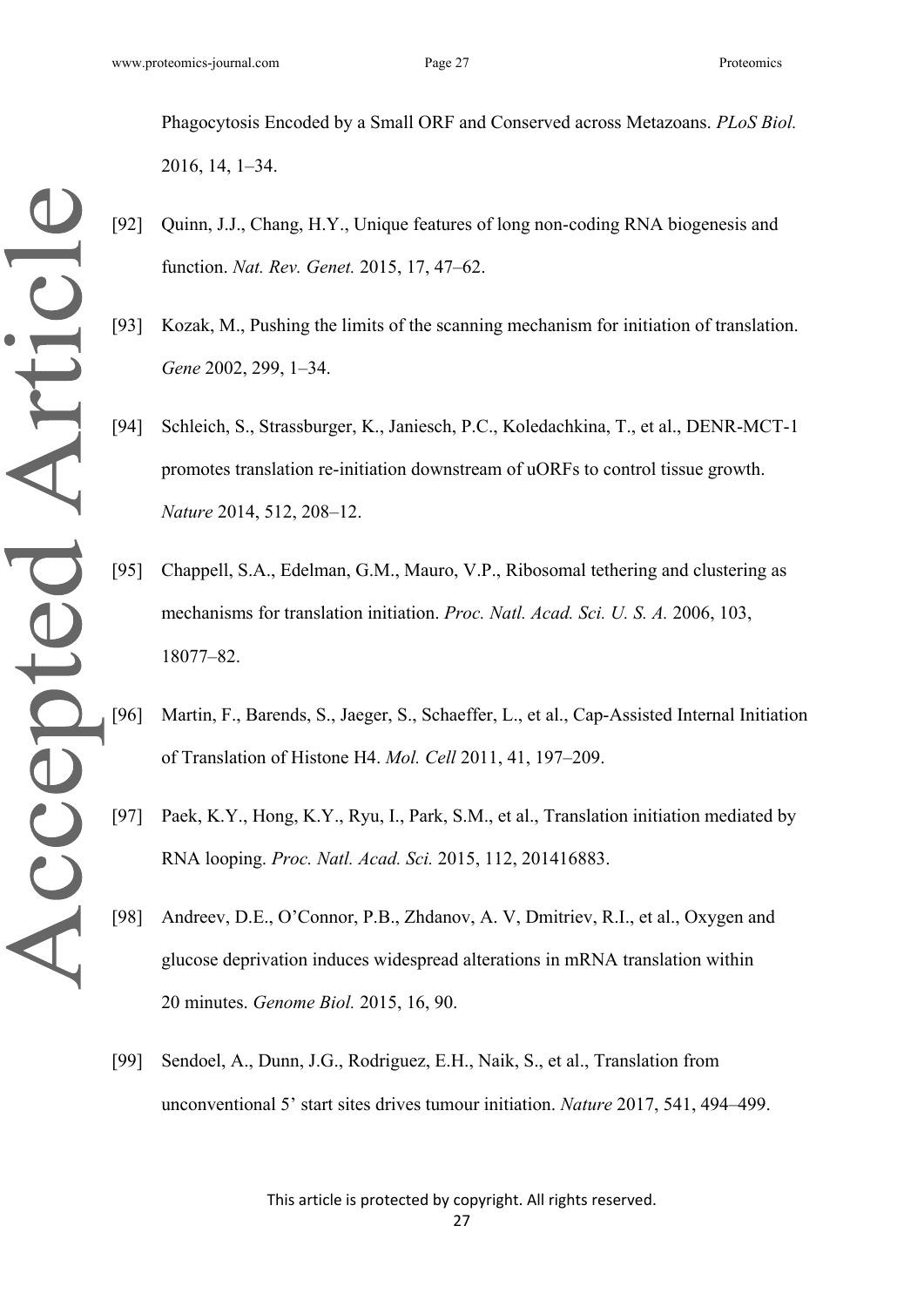Phagocytosis Encoded by a Small ORF and Conserved across Metazoans. *PLoS Biol.* 2016, 14, 1–34.

- [92] Quinn, J.J., Chang, H.Y., Unique features of long non-coding RNA biogenesis and function. *Nat. Rev. Genet.* 2015, 17, 47–62.
- [93] Kozak, M., Pushing the limits of the scanning mechanism for initiation of translation. *Gene* 2002, 299, 1–34.
- [94] Schleich, S., Strassburger, K., Janiesch, P.C., Koledachkina, T., et al., DENR-MCT-1 promotes translation re-initiation downstream of uORFs to control tissue growth. *Nature* 2014, 512, 208–12.
- [95] Chappell, S.A., Edelman, G.M., Mauro, V.P., Ribosomal tethering and clustering as mechanisms for translation initiation. *Proc. Natl. Acad. Sci. U. S. A.* 2006, 103, 18077–82.
- [96] Martin, F., Barends, S., Jaeger, S., Schaeffer, L., et al., Cap-Assisted Internal Initiation of Translation of Histone H4. *Mol. Cell* 2011, 41, 197–209.
- [97] Paek, K.Y., Hong, K.Y., Ryu, I., Park, S.M., et al., Translation initiation mediated by RNA looping. *Proc. Natl. Acad. Sci.* 2015, 112, 201416883.
- [98] Andreev, D.E., O"Connor, P.B., Zhdanov, A. V, Dmitriev, R.I., et al., Oxygen and glucose deprivation induces widespread alterations in mRNA translation within 20 minutes. *Genome Biol.* 2015, 16, 90.
- [99] Sendoel, A., Dunn, J.G., Rodriguez, E.H., Naik, S., et al., Translation from unconventional 5" start sites drives tumour initiation. *Nature* 2017, 541, 494–499.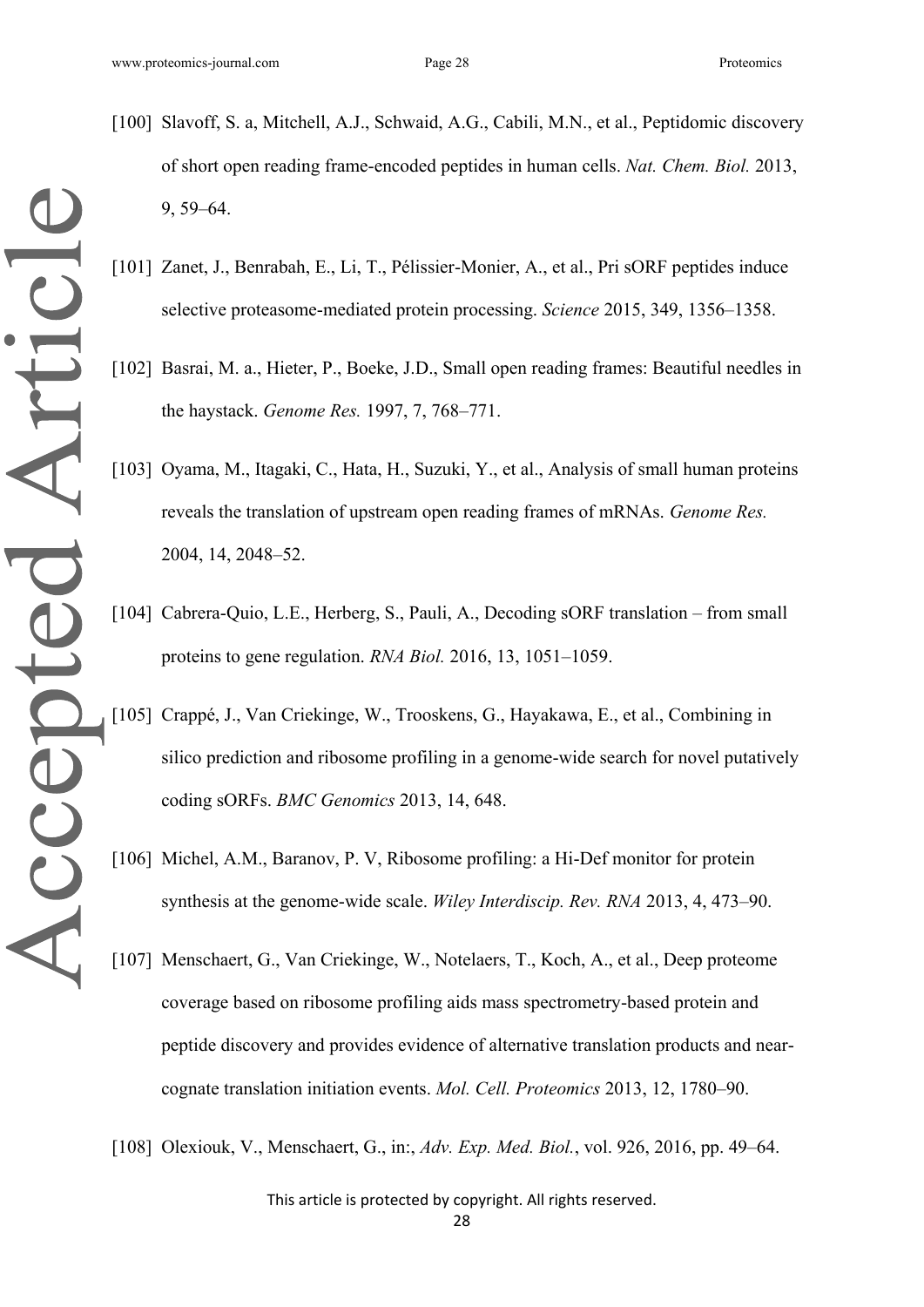- [100] Slavoff, S. a, Mitchell, A.J., Schwaid, A.G., Cabili, M.N., et al., Peptidomic discovery of short open reading frame-encoded peptides in human cells. *Nat. Chem. Biol.* 2013, 9, 59–64.
- [101] Zanet, J., Benrabah, E., Li, T., Pélissier-Monier, A., et al., Pri sORF peptides induce selective proteasome-mediated protein processing. *Science* 2015, 349, 1356–1358.
- [102] Basrai, M. a., Hieter, P., Boeke, J.D., Small open reading frames: Beautiful needles in the haystack. *Genome Res.* 1997, 7, 768–771.
- [103] Oyama, M., Itagaki, C., Hata, H., Suzuki, Y., et al., Analysis of small human proteins reveals the translation of upstream open reading frames of mRNAs. *Genome Res.* 2004, 14, 2048–52.
- [104] Cabrera-Quio, L.E., Herberg, S., Pauli, A., Decoding sORF translation from small proteins to gene regulation. *RNA Biol.* 2016, 13, 1051–1059.
- [105] Crappé, J., Van Criekinge, W., Trooskens, G., Hayakawa, E., et al., Combining in silico prediction and ribosome profiling in a genome-wide search for novel putatively coding sORFs. *BMC Genomics* 2013, 14, 648.
- [106] Michel, A.M., Baranov, P. V, Ribosome profiling: a Hi-Def monitor for protein synthesis at the genome-wide scale. *Wiley Interdiscip. Rev. RNA* 2013, 4, 473–90.
- [107] Menschaert, G., Van Criekinge, W., Notelaers, T., Koch, A., et al., Deep proteome coverage based on ribosome profiling aids mass spectrometry-based protein and peptide discovery and provides evidence of alternative translation products and nearcognate translation initiation events. *Mol. Cell. Proteomics* 2013, 12, 1780–90.
- [108] Olexiouk, V., Menschaert, G., in:, *Adv. Exp. Med. Biol.*, vol. 926, 2016, pp. 49–64.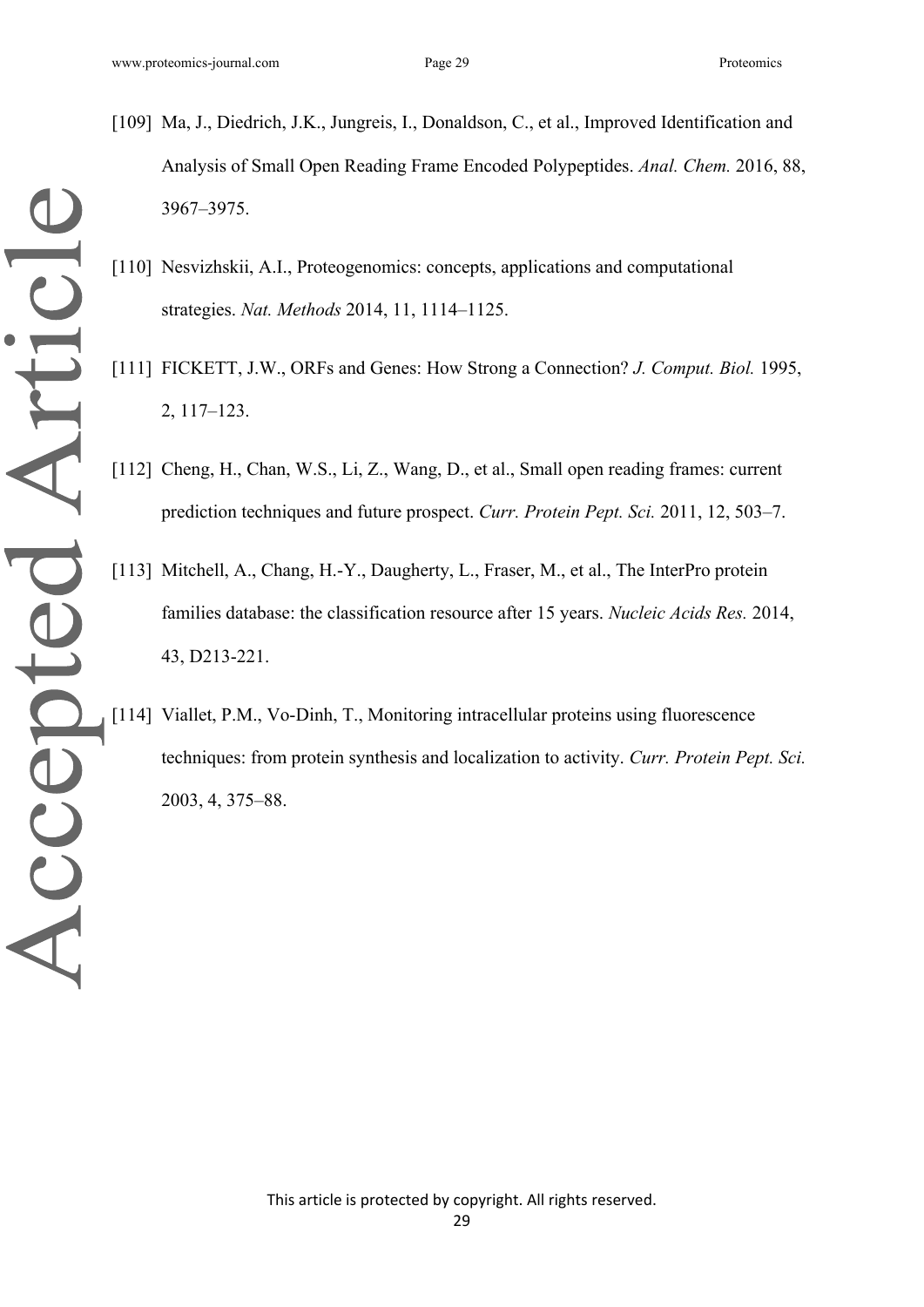- Accepted Article
- [109] Ma, J., Diedrich, J.K., Jungreis, I., Donaldson, C., et al., Improved Identification and Analysis of Small Open Reading Frame Encoded Polypeptides. *Anal. Chem.* 2016, 88, 3967–3975.
	- [110] Nesvizhskii, A.I., Proteogenomics: concepts, applications and computational strategies. *Nat. Methods* 2014, 11, 1114–1125.
	- [111] FICKETT, J.W., ORFs and Genes: How Strong a Connection? *J. Comput. Biol.* 1995, 2, 117–123.
	- [112] Cheng, H., Chan, W.S., Li, Z., Wang, D., et al., Small open reading frames: current prediction techniques and future prospect. *Curr. Protein Pept. Sci.* 2011, 12, 503–7.
	- [113] Mitchell, A., Chang, H.-Y., Daugherty, L., Fraser, M., et al., The InterPro protein families database: the classification resource after 15 years. *Nucleic Acids Res.* 2014, 43, D213-221.
	- [114] Viallet, P.M., Vo-Dinh, T., Monitoring intracellular proteins using fluorescence techniques: from protein synthesis and localization to activity. *Curr. Protein Pept. Sci.* 2003, 4, 375–88.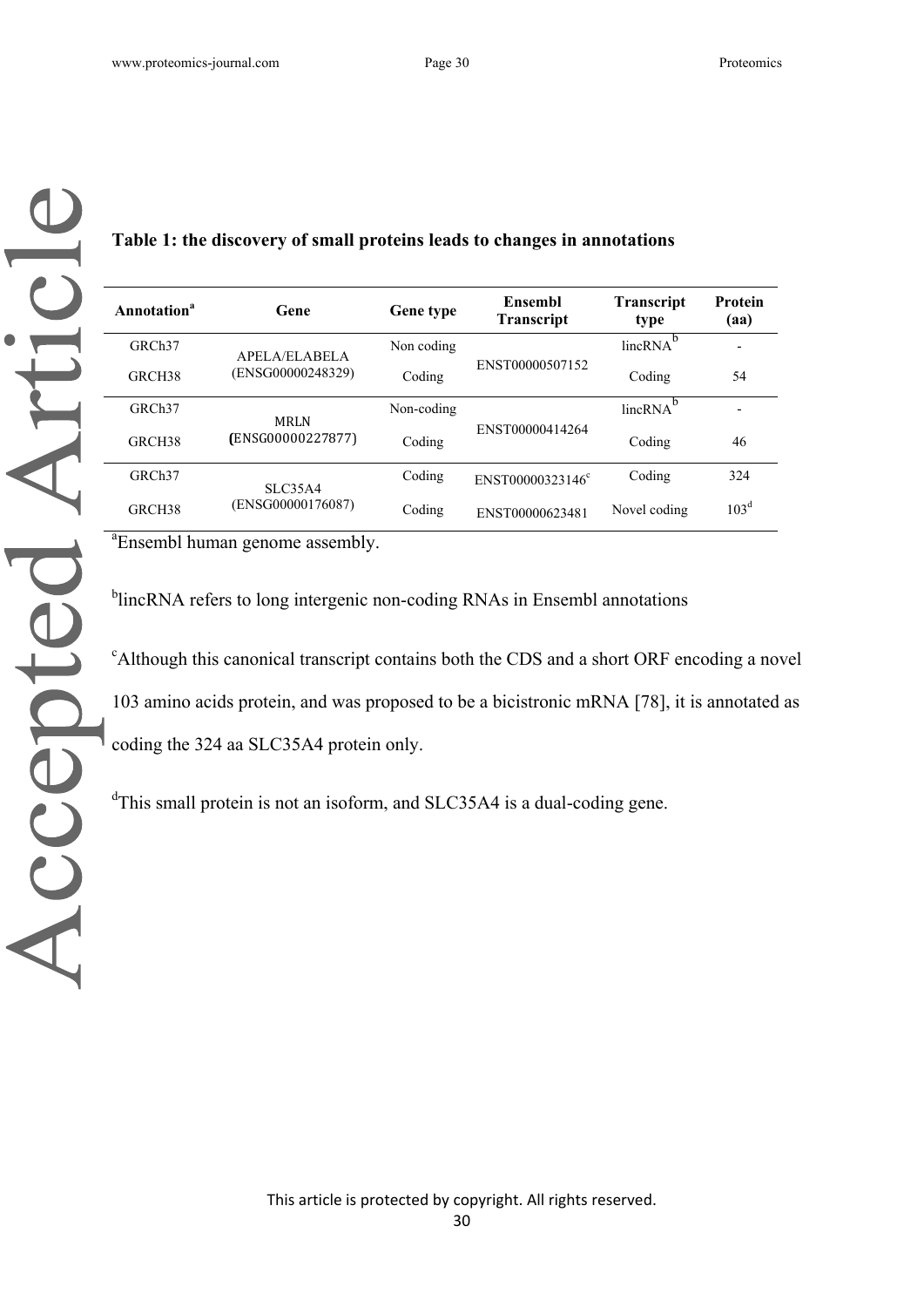## **Table 1: the discovery of small proteins leads to changes in annotations**

| Annotation <sup>a</sup> | Gene                         | <b>Gene</b> type | Ensembl<br><b>Transcript</b> | <b>Transcript</b><br>type | <b>Protein</b><br>(aa)   |
|-------------------------|------------------------------|------------------|------------------------------|---------------------------|--------------------------|
| GRCh <sub>37</sub>      | APELA/ELABELA                | Non coding       | ENST00000507152              | $linearNA^b$              | $\overline{\phantom{a}}$ |
| GRCH <sub>38</sub>      | (ENSG00000248329)            | Coding           |                              | Coding                    | 54                       |
| GRCh <sub>37</sub>      | <b>MRLN</b>                  | Non-coding       | ENST00000414264              | $linearNA^b$              | $\overline{\phantom{a}}$ |
| GRCH38                  | (ENSG00000227877)            | Coding           |                              | Coding                    | 46                       |
| GRCh <sub>37</sub>      | SLC35A4<br>(ENSG00000176087) | Coding           | ENST00000323146 <sup>c</sup> | Coding                    | 324                      |
| GRCH <sub>38</sub>      |                              | Coding           | ENST00000623481              | Novel coding              | 103 <sup>d</sup>         |

<sup>a</sup> Ensembl human genome assembly.

<sup>b</sup>lincRNA refers to long intergenic non-coding RNAs in Ensembl annotations

<sup>c</sup>Although this canonical transcript contains both the CDS and a short ORF encoding a novel 103 amino acids protein, and was proposed to be a bicistronic mRNA [78], it is annotated as coding the 324 aa SLC35A4 protein only.

<sup>d</sup>This small protein is not an isoform, and SLC35A4 is a dual-coding gene.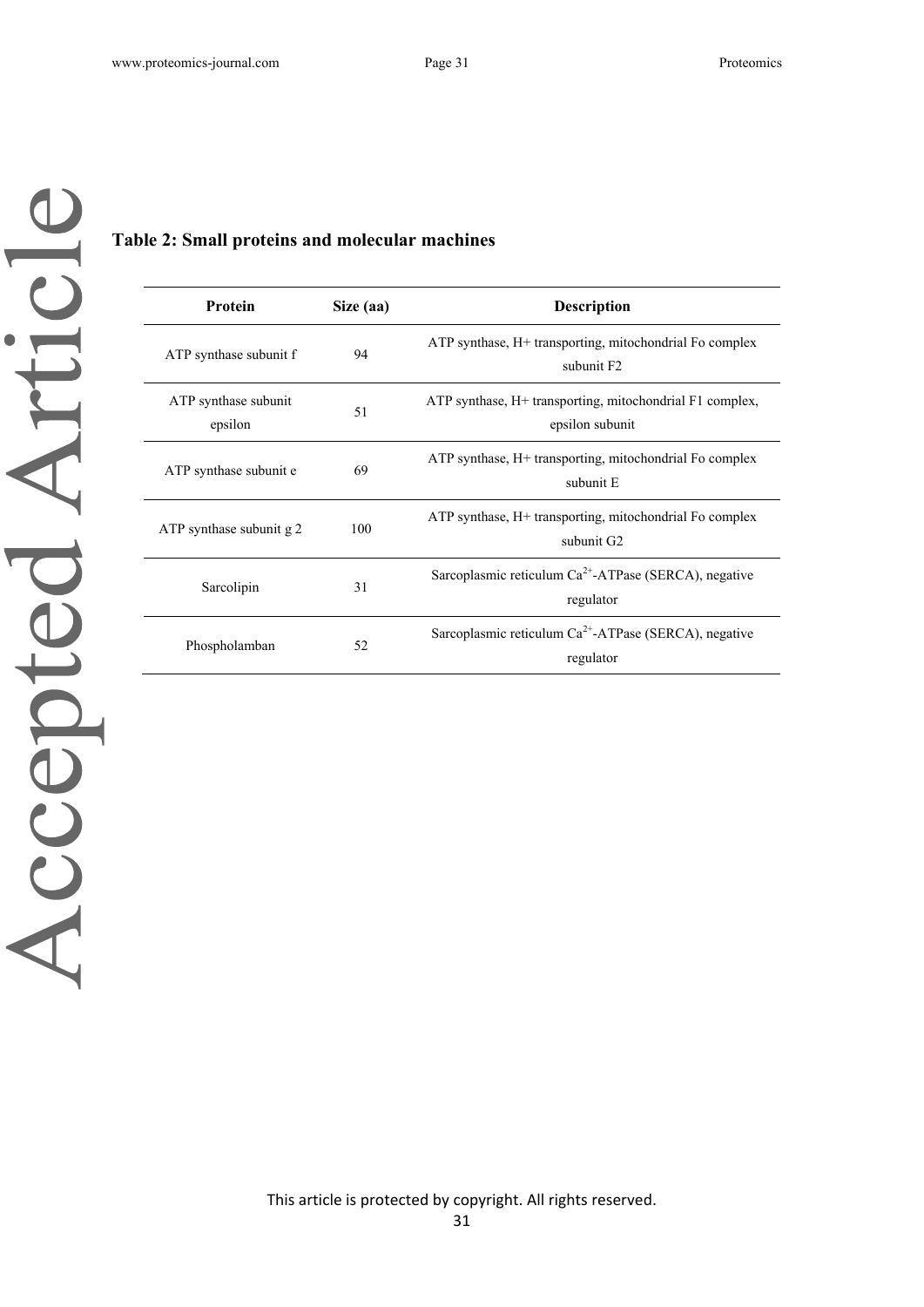## **Table 2: Small proteins and molecular machines**

| Protein                         | Size (aa) | <b>Description</b>                                                                |  |  |
|---------------------------------|-----------|-----------------------------------------------------------------------------------|--|--|
| ATP synthase subunit f          | 94        | ATP synthase, H+ transporting, mitochondrial Fo complex<br>subunit F <sub>2</sub> |  |  |
| ATP synthase subunit<br>epsilon | 51        | ATP synthase, H+ transporting, mitochondrial F1 complex,<br>epsilon subunit       |  |  |
| ATP synthase subunit e          | 69        | ATP synthase, H+ transporting, mitochondrial Fo complex<br>subunit E              |  |  |
| ATP synthase subunit g 2        | 100       | ATP synthase, H+ transporting, mitochondrial Fo complex<br>subunit G <sub>2</sub> |  |  |
| Sarcolipin                      | 31        | Sarcoplasmic reticulum $Ca^{2+}$ -ATPase (SERCA), negative<br>regulator           |  |  |
| Phospholamban                   | 52        | Sarcoplasmic reticulum $Ca^{2+}$ -ATPase (SERCA), negative<br>regulator           |  |  |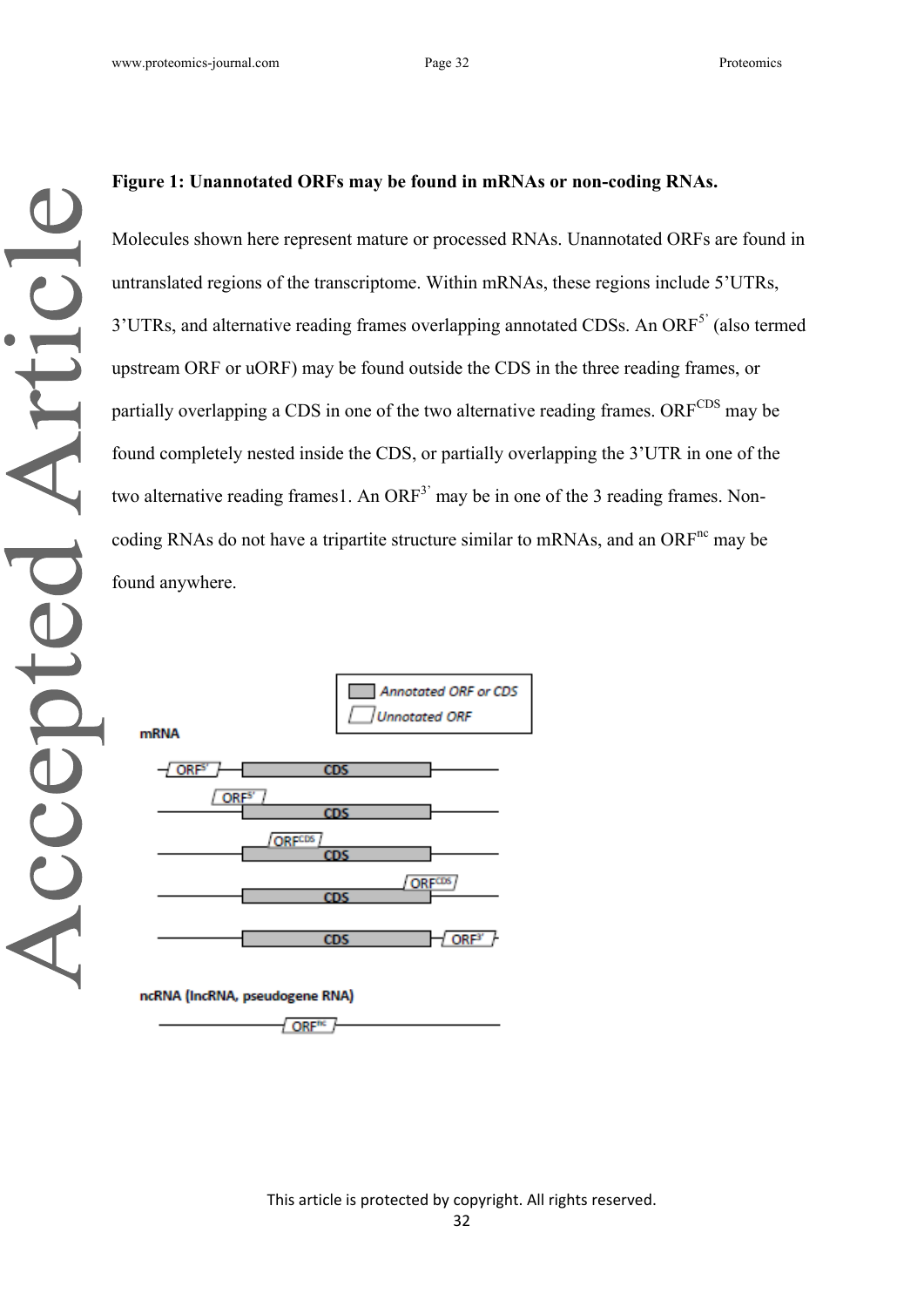### **Figure 1: Unannotated ORFs may be found in mRNAs or non-coding RNAs.**

Molecules shown here represent mature or processed RNAs. Unannotated ORFs are found in untranslated regions of the transcriptome. Within mRNAs, these regions include 5"UTRs, 3'UTRs, and alternative reading frames overlapping annotated CDSs. An ORF<sup>5'</sup> (also termed upstream ORF or uORF) may be found outside the CDS in the three reading frames, or partially overlapping a CDS in one of the two alternative reading frames. ORFCDS may be found completely nested inside the CDS, or partially overlapping the 3"UTR in one of the two alternative reading frames1. An  $ORF<sup>3</sup>$  may be in one of the 3 reading frames. Noncoding RNAs do not have a tripartite structure similar to mRNAs, and an  $ORF<sup>nc</sup>$  may be found anywhere.

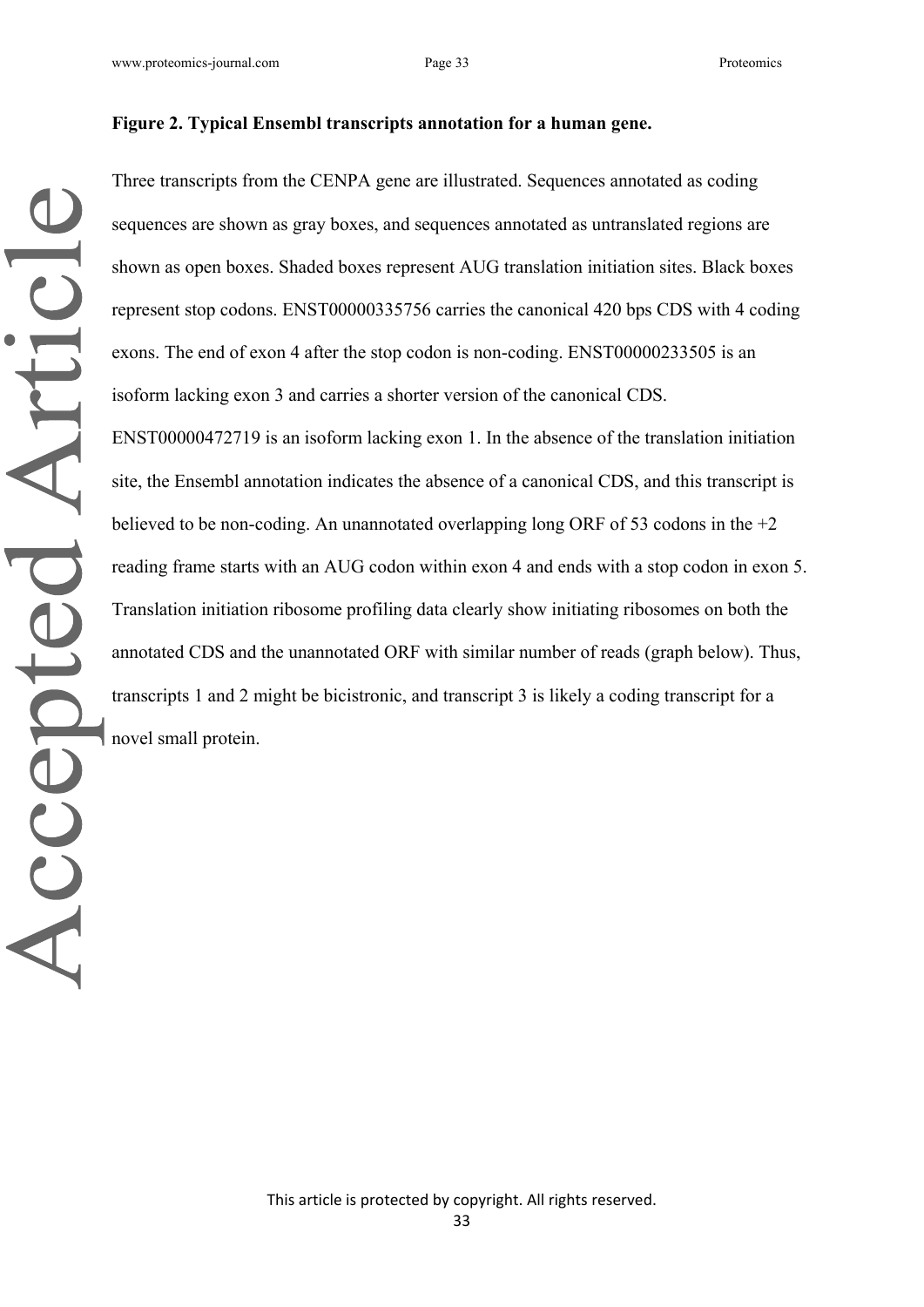Accepted Article

### **Figure 2. Typical Ensembl transcripts annotation for a human gene.**

Three transcripts from the CENPA gene are illustrated. Sequences annotated as coding sequences are shown as gray boxes, and sequences annotated as untranslated regions are shown as open boxes. Shaded boxes represent AUG translation initiation sites. Black boxes represent stop codons. ENST00000335756 carries the canonical 420 bps CDS with 4 coding exons. The end of exon 4 after the stop codon is non-coding. ENST00000233505 is an isoform lacking exon 3 and carries a shorter version of the canonical CDS. ENST00000472719 is an isoform lacking exon 1. In the absence of the translation initiation site, the Ensembl annotation indicates the absence of a canonical CDS, and this transcript is believed to be non-coding. An unannotated overlapping long ORF of 53 codons in the  $+2$ reading frame starts with an AUG codon within exon 4 and ends with a stop codon in exon 5. Translation initiation ribosome profiling data clearly show initiating ribosomes on both the annotated CDS and the unannotated ORF with similar number of reads (graph below). Thus, transcripts 1 and 2 might be bicistronic, and transcript 3 is likely a coding transcript for a novel small protein.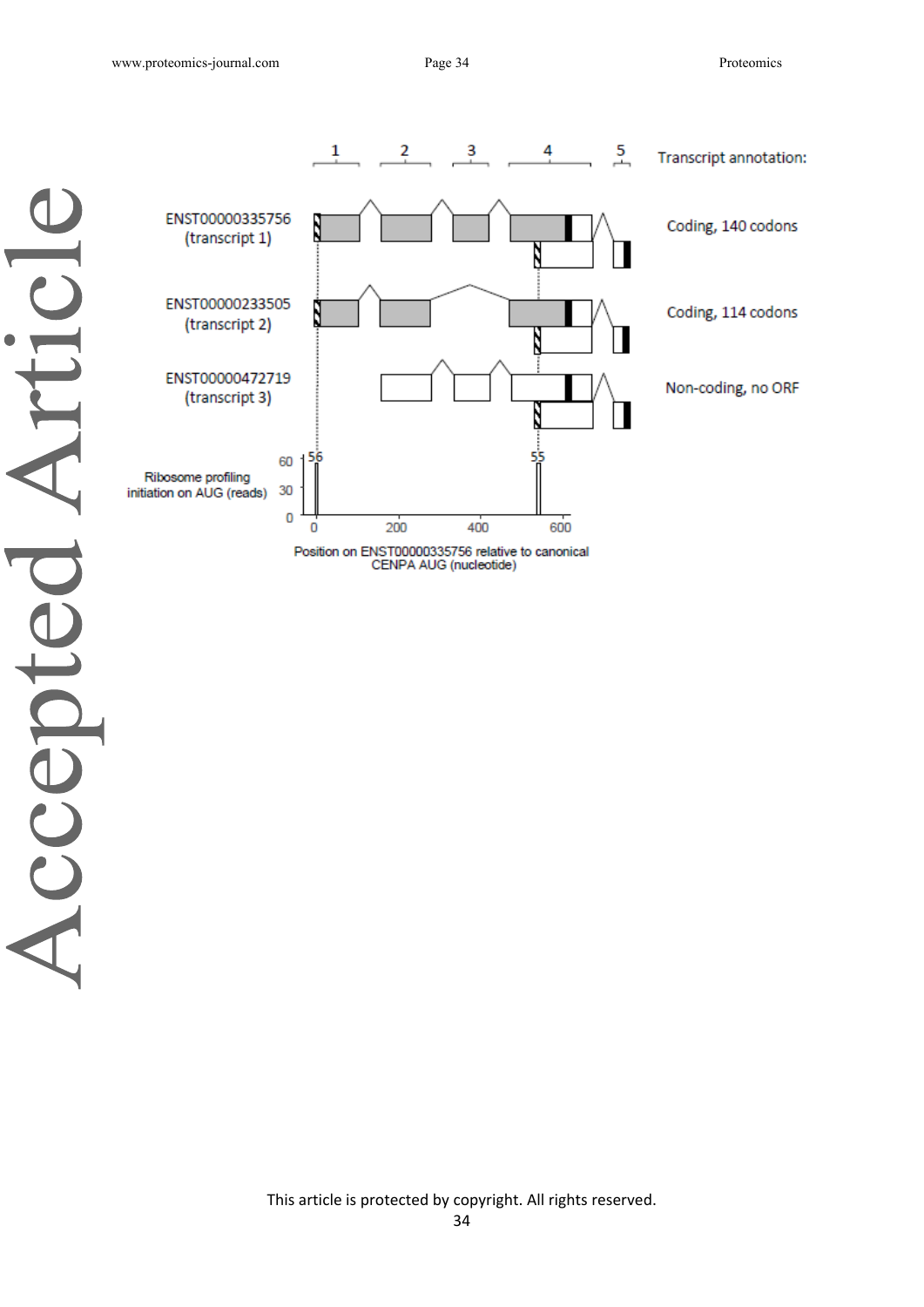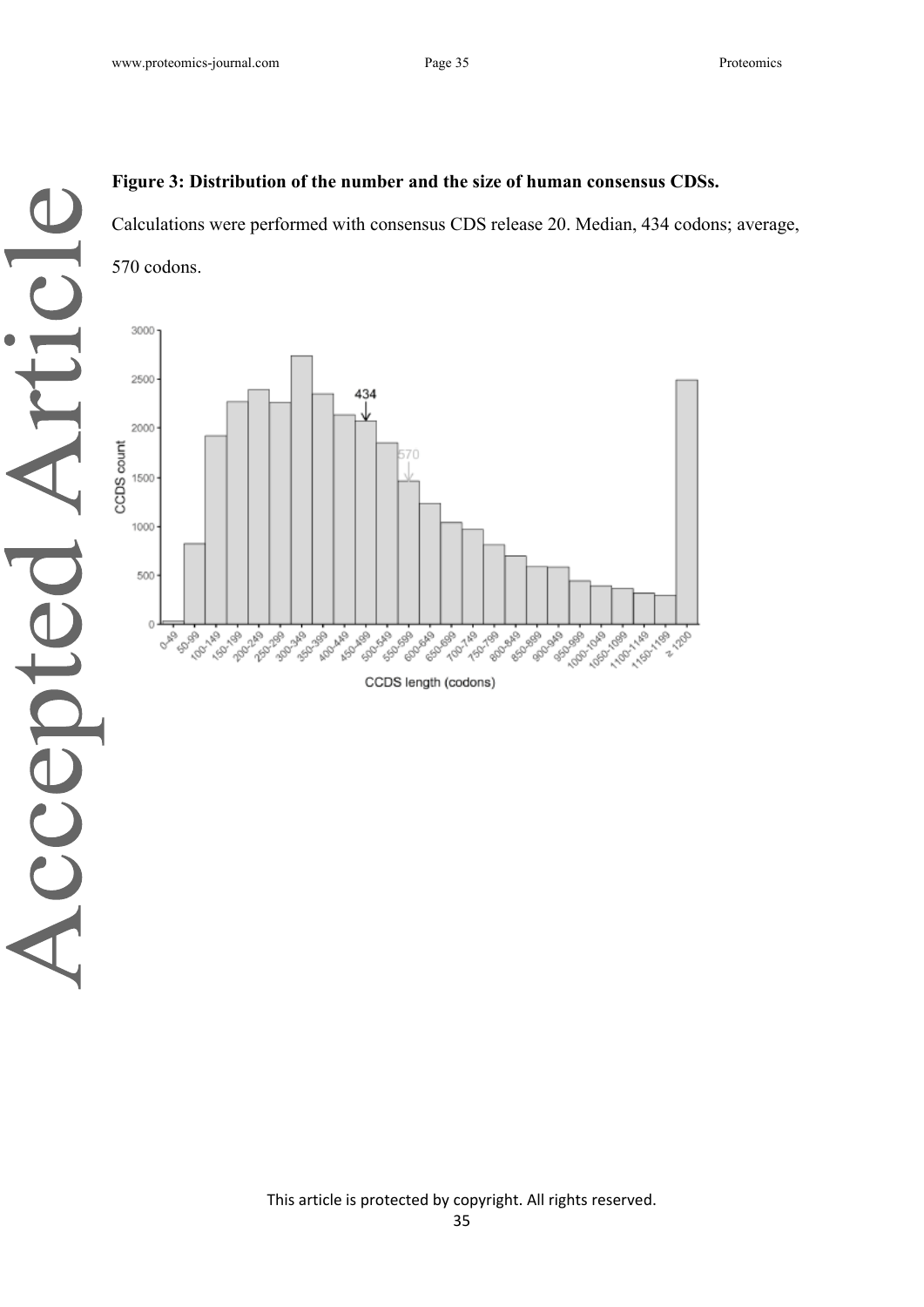## **Figure 3: Distribution of the number and the size of human consensus CDSs.**

Calculations were performed with consensus CDS release 20. Median, 434 codons; average,

570 codons.



CCDS length (codons)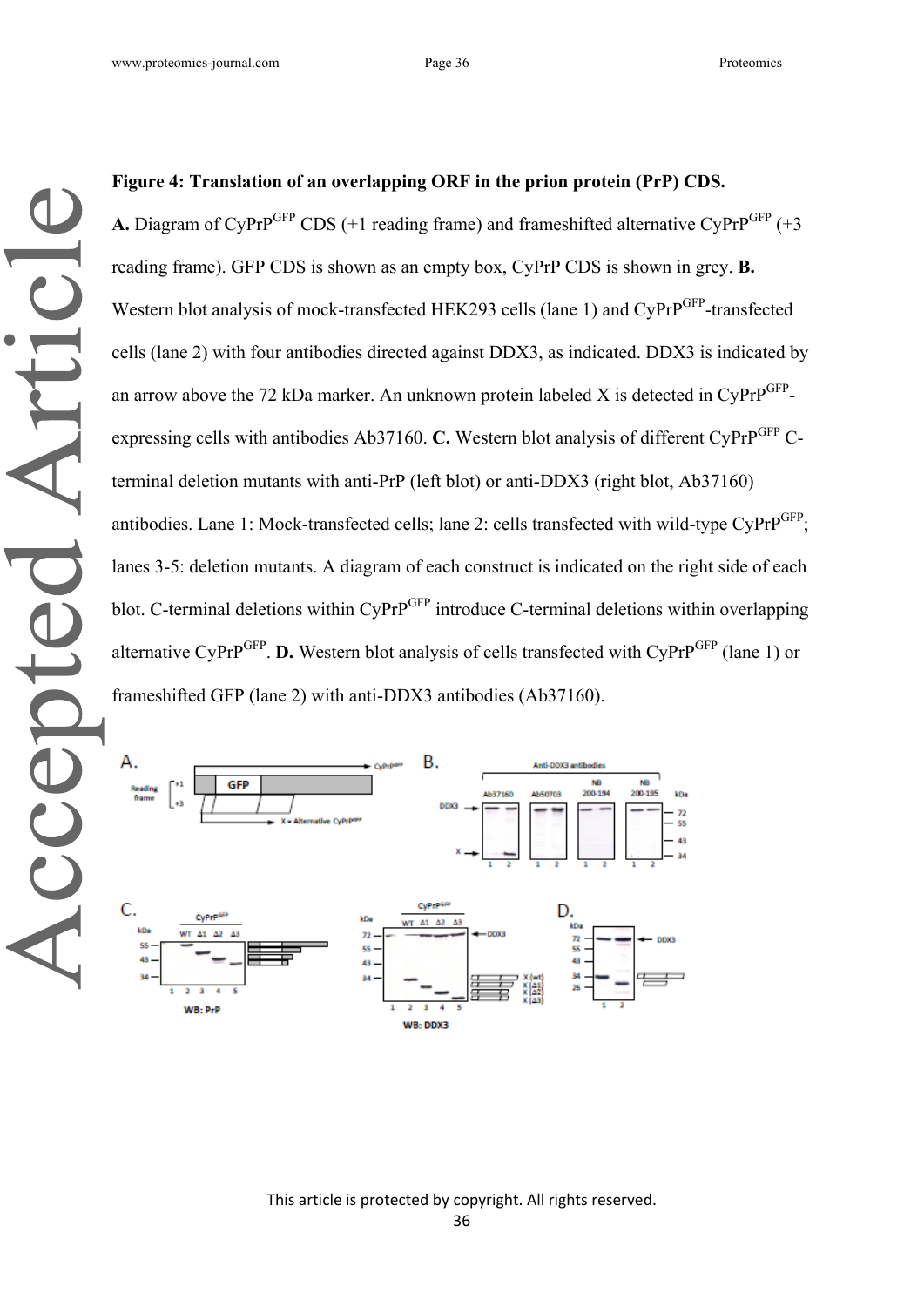**Figure 4: Translation of an overlapping ORF in the prion protein (PrP) CDS. A.** Diagram of CyPrP<sup>GFP</sup> CDS (+1 reading frame) and frameshifted alternative CyPrP<sup>GFP</sup> (+3) reading frame). GFP CDS is shown as an empty box, CyPrP CDS is shown in grey. **B.** Western blot analysis of mock-transfected HEK293 cells (lane 1) and CyPrP<sup>GFP</sup>-transfected cells (lane 2) with four antibodies directed against DDX3, as indicated. DDX3 is indicated by an arrow above the 72 kDa marker. An unknown protein labeled X is detected in CyPrP $GFP$ expressing cells with antibodies Ab37160. **C.** Western blot analysis of different CyPrP<sup>GFP</sup> Cterminal deletion mutants with anti-PrP (left blot) or anti-DDX3 (right blot, Ab37160) antibodies. Lane 1: Mock-transfected cells; lane 2: cells transfected with wild-type CyPrP<sup>GFP</sup>; lanes 3-5: deletion mutants. A diagram of each construct is indicated on the right side of each blot. C-terminal deletions within CyPrP<sup>GFP</sup> introduce C-terminal deletions within overlapping alternative CyPrP<sup>GFP</sup>. **D.** Western blot analysis of cells transfected with CyPrP<sup>GFP</sup> (lane 1) or frameshifted GFP (lane 2) with anti-DDX3 antibodies (Ab37160).